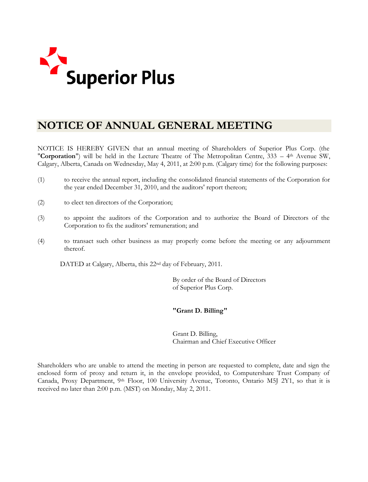

# **NOTICE OF ANNUAL GENERAL MEETING**

NOTICE IS HEREBY GIVEN that an annual meeting of Shareholders of Superior Plus Corp. (the "**Corporation**") will be held in the Lecture Theatre of The Metropolitan Centre, 333 – 4th Avenue SW, Calgary, Alberta, Canada on Wednesday, May 4, 2011, at 2:00 p.m. (Calgary time) for the following purposes:

- (1) to receive the annual report, including the consolidated financial statements of the Corporation for the year ended December 31, 2010, and the auditors' report thereon;
- (2) to elect ten directors of the Corporation;
- (3) to appoint the auditors of the Corporation and to authorize the Board of Directors of the Corporation to fix the auditors' remuneration; and
- (4) to transact such other business as may properly come before the meeting or any adjournment thereof.

DATED at Calgary, Alberta, this 22nd day of February, 2011.

By order of the Board of Directors of Superior Plus Corp.

## *"Grant D. Billing"*

Grant D. Billing, Chairman and Chief Executive Officer

Shareholders who are unable to attend the meeting in person are requested to complete, date and sign the enclosed form of proxy and return it, in the envelope provided, to Computershare Trust Company of Canada, Proxy Department, 9<sup>th</sup> Floor, 100 University Avenue, Toronto, Ontario M5J 2Y1, so that it is received no later than 2:00 p.m. (MST) on Monday, May 2, 2011.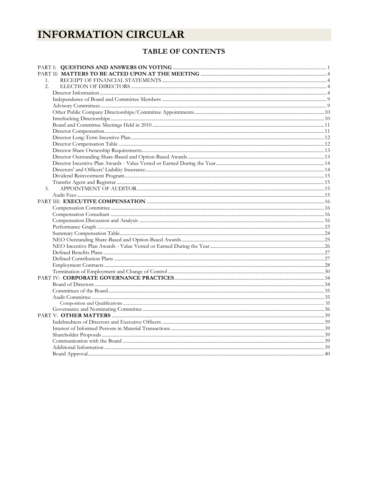# **INFORMATION CIRCULAR**

## TABLE OF CONTENTS

| 1. |  |
|----|--|
| 2. |  |
|    |  |
|    |  |
|    |  |
|    |  |
|    |  |
|    |  |
|    |  |
|    |  |
|    |  |
|    |  |
|    |  |
|    |  |
|    |  |
|    |  |
|    |  |
| 3. |  |
|    |  |
|    |  |
|    |  |
|    |  |
|    |  |
|    |  |
|    |  |
|    |  |
|    |  |
|    |  |
|    |  |
|    |  |
|    |  |
|    |  |
|    |  |
|    |  |
|    |  |
|    |  |
|    |  |
|    |  |
|    |  |
|    |  |
|    |  |
|    |  |
|    |  |
|    |  |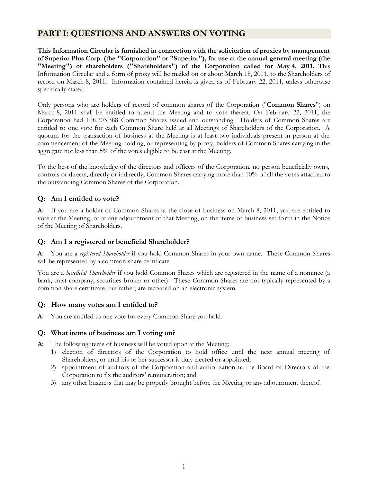## **PART I: QUESTIONS AND ANSWERS ON VOTING**

**This Information Circular is furnished in connection with the solicitation of proxies by management of Superior Plus Corp. (the "Corporation" or "Superior"), for use at the annual general meeting (the "Meeting") of shareholders ("Shareholders") of the Corporation called for May 4, 2011.** This Information Circular and a form of proxy will be mailed on or about March 18, 2011, to the Shareholders of record on March 8, 2011. Information contained herein is given as of February 22, 2011, unless otherwise specifically stated.

Only persons who are holders of record of common shares of the Corporation ("**Common Shares**") on March 8, 2011 shall be entitled to attend the Meeting and to vote thereat. On February 22, 2011, the Corporation had 108,203,388 Common Shares issued and outstanding. Holders of Common Shares are entitled to one vote for each Common Share held at all Meetings of Shareholders of the Corporation. A quorum for the transaction of business at the Meeting is at least two individuals present in person at the commencement of the Meeting holding, or representing by proxy, holders of Common Shares carrying in the aggregate not less than 5% of the votes eligible to be cast at the Meeting.

To the best of the knowledge of the directors and officers of the Corporation, no person beneficially owns, controls or directs, directly or indirectly, Common Shares carrying more than 10% of all the votes attached to the outstanding Common Shares of the Corporation.

## **Q: Am I entitled to vote?**

**A:** If you are a holder of Common Shares at the close of business on March 8, 2011, you are entitled to vote at the Meeting, or at any adjournment of that Meeting, on the items of business set forth in the Notice of the Meeting of Shareholders.

## **Q: Am I a registered or beneficial Shareholder?**

**A:** You are a *registered Shareholder* if you hold Common Shares in your own name. These Common Shares will be represented by a common share certificate.

You are a *beneficial Shareholder* if you hold Common Shares which are registered in the name of a nominee (a bank, trust company, securities broker or other). These Common Shares are not typically represented by a common share certificate, but rather, are recorded on an electronic system.

## **Q: How many votes am I entitled to?**

**A:** You are entitled to one vote for every Common Share you hold.

## **Q: What items of business am I voting on?**

**A:** The following items of business will be voted upon at the Meeting:

- 1) election of directors of the Corporation to hold office until the next annual meeting of Shareholders, or until his or her successor is duly elected or appointed;
- 2) appointment of auditors of the Corporation and authorization to the Board of Directors of the Corporation to fix the auditors' remuneration; and
- 3) any other business that may be properly brought before the Meeting or any adjournment thereof.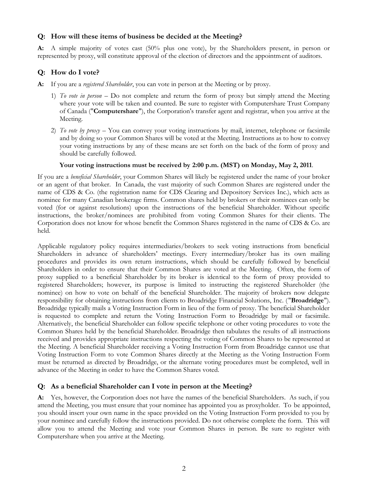## **Q: How will these items of business be decided at the Meeting?**

**A:** A simple majority of votes cast (50% plus one vote), by the Shareholders present, in person or represented by proxy, will constitute approval of the election of directors and the appointment of auditors.

## **Q: How do I vote?**

- **A:** If you are a *registered Shareholder*, you can vote in person at the Meeting or by proxy.
	- 1) *To vote in person* Do not complete and return the form of proxy but simply attend the Meeting where your vote will be taken and counted. Be sure to register with Computershare Trust Company of Canada ("**Computershare**"), the Corporation's transfer agent and registrar, when you arrive at the Meeting.
	- 2) *To vote by proxy* You can convey your voting instructions by mail, internet, telephone or facsimile and by doing so your Common Shares will be voted at the Meeting. Instructions as to how to convey your voting instructions by any of these means are set forth on the back of the form of proxy and should be carefully followed.

#### **Your voting instructions must be received by 2:00 p.m. (MST) on Monday, May 2, 2011**.

If you are a *beneficial Shareholder*, your Common Shares will likely be registered under the name of your broker or an agent of that broker. In Canada, the vast majority of such Common Shares are registered under the name of CDS & Co. (the registration name for CDS Clearing and Depository Services Inc.), which acts as nominee for many Canadian brokerage firms. Common shares held by brokers or their nominees can only be voted (for or against resolutions) upon the instructions of the beneficial Shareholder. Without specific instructions, the broker/nominees are prohibited from voting Common Shares for their clients. The Corporation does not know for whose benefit the Common Shares registered in the name of CDS & Co. are held.

Applicable regulatory policy requires intermediaries/brokers to seek voting instructions from beneficial Shareholders in advance of shareholders' meetings. Every intermediary/broker has its own mailing procedures and provides its own return instructions, which should be carefully followed by beneficial Shareholders in order to ensure that their Common Shares are voted at the Meeting. Often, the form of proxy supplied to a beneficial Shareholder by its broker is identical to the form of proxy provided to registered Shareholders; however, its purpose is limited to instructing the registered Shareholder (the nominee) on how to vote on behalf of the beneficial Shareholder. The majority of brokers now delegate responsibility for obtaining instructions from clients to Broadridge Financial Solutions, Inc. ( "**Broadridge**"). Broadridge typically mails a Voting Instruction Form in lieu of the form of proxy. The beneficial Shareholder is requested to complete and return the Voting Instruction Form to Broadridge by mail or facsimile. Alternatively, the beneficial Shareholder can follow specific telephone or other voting procedures to vote the Common Shares held by the beneficial Shareholder. Broadridge then tabulates the results of all instructions received and provides appropriate instructions respecting the voting of Common Shares to be represented at the Meeting. A beneficial Shareholder receiving a Voting Instruction Form from Broadridge cannot use that Voting Instruction Form to vote Common Shares directly at the Meeting as the Voting Instruction Form must be returned as directed by Broadridge, or the alternate voting procedures must be completed, well in advance of the Meeting in order to have the Common Shares voted.

## **Q: As a beneficial Shareholder can I vote in person at the Meeting?**

**A:** Yes, however, the Corporation does not have the names of the beneficial Shareholders. As such, if you attend the Meeting, you must ensure that your nominee has appointed you as proxyholder. To be appointed, you should insert your own name in the space provided on the Voting Instruction Form provided to you by your nominee and carefully follow the instructions provided. Do not otherwise complete the form. This will allow you to attend the Meeting and vote your Common Shares in person. Be sure to register with Computershare when you arrive at the Meeting.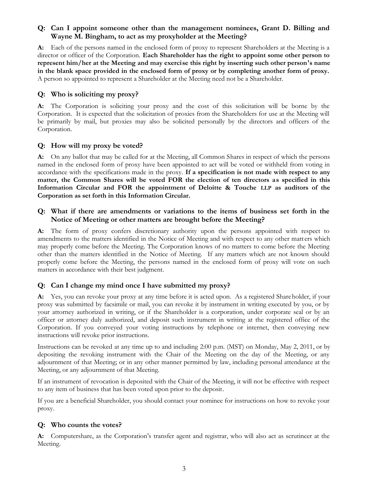## **Q: Can I appoint someone other than the management nominees, Grant D. Billing and Wayne M. Bingham, to act as my proxyholder at the Meeting?**

**A:** Each of the persons named in the enclosed form of proxy to represent Shareholders at the Meeting is a director or officer of the Corporation. **Each Shareholder has the right to appoint some other person to represent him/her at the Meeting and may exercise this right by inserting such other person's name in the blank space provided in the enclosed form of proxy or by completing another form of proxy.** A person so appointed to represent a Shareholder at the Meeting need not be a Shareholder.

## **Q: Who is soliciting my proxy?**

**A:** The Corporation is soliciting your proxy and the cost of this solicitation will be borne by the Corporation. It is expected that the solicitation of proxies from the Shareholders for use at the Meeting will be primarily by mail, but proxies may also be solicited personally by the directors and officers of the Corporation.

## **Q: How will my proxy be voted?**

**A:** On any ballot that may be called for at the Meeting, all Common Shares in respect of which the persons named in the enclosed form of proxy have been appointed to act will be voted or withheld from voting in accordance with the specifications made in the proxy. **If a specification is not made with respect to any matter, the Common Shares will be voted FOR the election of ten directors as specified in this Information Circular and FOR the appointment of Deloitte & Touche LLP as auditors of the Corporation as set forth in this Information Circular.**

## **Q: What if there are amendments or variations to the items of business set forth in the Notice of Meeting or other matters are brought before the Meeting?**

**A:** The form of proxy confers discretionary authority upon the persons appointed with respect to amendments to the matters identified in the Notice of Meeting and with respect to any other matt ers which may properly come before the Meeting. The Corporation knows of no matters to come before the Meeting other than the matters identified in the Notice of Meeting. If any matters which are not known should properly come before the Meeting, the persons named in the enclosed form of proxy will vote on such matters in accordance with their best judgment.

## **Q: Can I change my mind once I have submitted my proxy?**

**A:** Yes, you can revoke your proxy at any time before it is acted upon. As a registered Shareholder, if your proxy was submitted by facsimile or mail, you can revoke it by instrument in writing executed by you, or by your attorney authorized in writing, or if the Shareholder is a corporation, under corporate seal or by an officer or attorney duly authorized, and deposit such instrument in writing at the registered office of the Corporation. If you conveyed your voting instructions by telephone or internet, then conveying new instructions will revoke prior instructions.

Instructions can be revoked at any time up to and including 2:00 p.m. (MST) on Monday, May 2, 2011, or by depositing the revoking instrument with the Chair of the Meeting on the day of the Meeting, or any adjournment of that Meeting; or in any other manner permitted by law, including personal attendance at the Meeting, or any adjournment of that Meeting.

If an instrument of revocation is deposited with the Chair of the Meeting, it will not be effective with respect to any item of business that has been voted upon prior to the deposit.

If you are a beneficial Shareholder, you should contact your nominee for instructions on how to revoke your proxy.

## **Q: Who counts the votes?**

**A:** Computershare, as the Corporation's transfer agent and registrar, who will also act as scrutineer at the Meeting.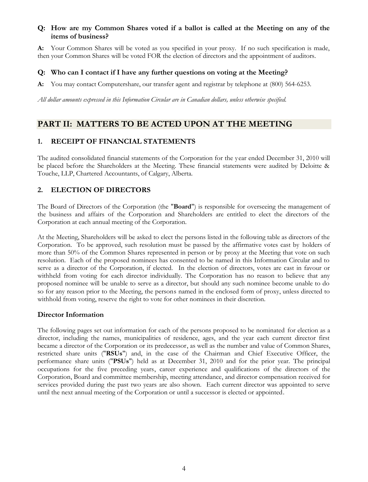## **Q: How are my Common Shares voted if a ballot is called at the Meeting on any of the items of business?**

**A:** Your Common Shares will be voted as you specified in your proxy. If no such specification is made, then your Common Shares will be voted FOR the election of directors and the appointment of auditors.

## **Q: Who can I contact if I have any further questions on voting at the Meeting?**

**A:** You may contact Computershare, our transfer agent and registrar by telephone at (800) 564-6253.

*All dollar amounts expressed in this Information Circular are in Canadian dollars, unless otherwise specified.*

## **PART II: MATTERS TO BE ACTED UPON AT THE MEETING**

## **1. RECEIPT OF FINANCIAL STATEMENTS**

The audited consolidated financial statements of the Corporation for the year ended December 31, 2010 will be placed before the Shareholders at the Meeting. These financial statements were audited by Deloitte & Touche, LLP, Chartered Accountants, of Calgary, Alberta.

## **2. ELECTION OF DIRECTORS**

The Board of Directors of the Corporation (the "**Board**") is responsible for overseeing the management of the business and affairs of the Corporation and Shareholders are entitled to elect the directors of the Corporation at each annual meeting of the Corporation.

At the Meeting, Shareholders will be asked to elect the persons listed in the following table as directors of the Corporation. To be approved, such resolution must be passed by the affirmative votes cast by holders of more than 50% of the Common Shares represented in person or by proxy at the Meeting that vote on such resolution. Each of the proposed nominees has consented to be named in this Information Circular and to serve as a director of the Corporation, if elected. In the election of directors, votes are cast in favour or withheld from voting for each director individually. The Corporation has no reason to believe that any proposed nominee will be unable to serve as a director, but should any such nominee become unable to do so for any reason prior to the Meeting, the persons named in the enclosed form of proxy, unless directed to withhold from voting, reserve the right to vote for other nominees in their discretion.

## **Director Information**

The following pages set out information for each of the persons proposed to be nominated for election as a director, including the names, municipalities of residence, ages, and the year each current director first became a director of the Corporation or its predecessor, as well as the number and value of Common Shares, restricted share units ("**RSUs**") and, in the case of the Chairman and Chief Executive Officer, the performance share units ("**PSUs**") held as at December 31, 2010 and for the prior year. The principal occupations for the five preceding years, career experience and qualifications of the directors of the Corporation, Board and committee membership, meeting attendance, and director compensation received for services provided during the past two years are also shown. Each current director was appointed to serve until the next annual meeting of the Corporation or until a successor is elected or appointed.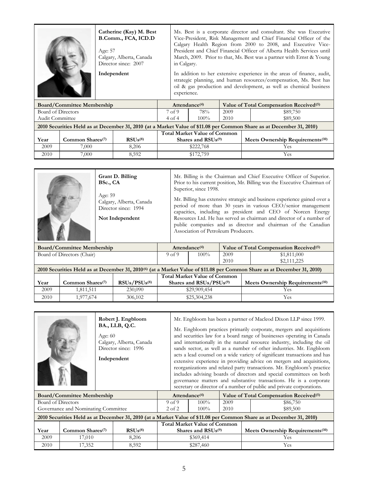|                                   | Catherine (Kay) M. Best<br>B.Comm., FCA, ICD.D<br>Age: 57<br>Calgary, Alberta, Canada<br>Director since: 2007 |  | Ms. Best is a corporate director and consultant. She was Executive<br>Vice-President, Risk Management and Chief Financial Officer of the<br>Calgary Health Region from 2000 to 2008, and Executive Vice-<br>President and Chief Financial Officer of Alberta Health Services until<br>March, 2009. Prior to that, Ms. Best was a partner with Ernst & Young<br>in Calgary. |                                                     |  |  |
|-----------------------------------|---------------------------------------------------------------------------------------------------------------|--|----------------------------------------------------------------------------------------------------------------------------------------------------------------------------------------------------------------------------------------------------------------------------------------------------------------------------------------------------------------------------|-----------------------------------------------------|--|--|
|                                   | Independent                                                                                                   |  | In addition to her extensive experience in the areas of finance, audit,<br>strategic planning, and human resources/compensation, Ms. Best has<br>oil & gas production and development, as well as chemical business<br>experience.                                                                                                                                         |                                                     |  |  |
| <b>Board/Committee Membership</b> |                                                                                                               |  | Attendance <sup>(4)</sup>                                                                                                                                                                                                                                                                                                                                                  | Value of Total Compensation Received <sup>(5)</sup> |  |  |

|                                                                                                                      | bourd, commutee membership   |              |                                     | 1.1.0.01.0.01.00.00.00.00 |      | $\frac{1}{2}$ and $\frac{1}{2}$ and $\frac{1}{2}$ competition increased $\frac{1}{2}$ |  |
|----------------------------------------------------------------------------------------------------------------------|------------------------------|--------------|-------------------------------------|---------------------------|------|---------------------------------------------------------------------------------------|--|
| Board of Directors                                                                                                   |                              |              | 7 <sub>of</sub> 9                   | 78%                       | 2009 | \$89,750                                                                              |  |
|                                                                                                                      | Audit Committee              |              |                                     | $100\%$                   | 2010 | \$89,500                                                                              |  |
| 2010 Securities Held as at December 31, 2010 (at a Market Value of \$11.08 per Common Share as at December 31, 2010) |                              |              |                                     |                           |      |                                                                                       |  |
|                                                                                                                      |                              |              | <b>Total Market Value of Common</b> |                           |      |                                                                                       |  |
| Year                                                                                                                 | Common Shares <sup>(7)</sup> | $RSUs^{(8)}$ | Shares and $RSUs(9)$                |                           |      | Meets Ownership Requirements <sup>(10)</sup>                                          |  |
| 2009                                                                                                                 | 7.000                        | 8.206        |                                     | \$222,768                 |      | Yes                                                                                   |  |
| 2010                                                                                                                 | 7,000                        | 8,592        |                                     | \$172,759                 |      | Yes                                                                                   |  |

|                                                                                                                                     |                                   | BSc., CA<br>Age: 59 | Grant D. Billing<br>Calgary, Alberta, Canada<br>Director since: 1994<br>Not Independent |                                     | Mr. Billing is the Chairman and Chief Executive Officer of Superior.<br>Prior to his current position, Mr. Billing was the Executive Chairman of<br>Superior, since 1998.<br>Mr. Billing has extensive strategic and business experience gained over a<br>period of more than 30 years in various CEO/senior management<br>capacities, including as president and CEO of Norcen Energy<br>Resources Ltd. He has served as chairman and director of a number of<br>public companies and as director and chairman of the Canadian<br>Association of Petroleum Producers. |                  |      |                                                     |  |  |
|-------------------------------------------------------------------------------------------------------------------------------------|-----------------------------------|---------------------|-----------------------------------------------------------------------------------------|-------------------------------------|------------------------------------------------------------------------------------------------------------------------------------------------------------------------------------------------------------------------------------------------------------------------------------------------------------------------------------------------------------------------------------------------------------------------------------------------------------------------------------------------------------------------------------------------------------------------|------------------|------|-----------------------------------------------------|--|--|
|                                                                                                                                     | <b>Board/Committee Membership</b> |                     |                                                                                         |                                     |                                                                                                                                                                                                                                                                                                                                                                                                                                                                                                                                                                        | Attendance $(4)$ |      | Value of Total Compensation Received <sup>(5)</sup> |  |  |
|                                                                                                                                     | Board of Directors (Chair)        |                     |                                                                                         | 9 <sub>of</sub> 9                   |                                                                                                                                                                                                                                                                                                                                                                                                                                                                                                                                                                        | $100\%$          | 2009 | \$1,811,000                                         |  |  |
|                                                                                                                                     |                                   |                     |                                                                                         |                                     |                                                                                                                                                                                                                                                                                                                                                                                                                                                                                                                                                                        |                  | 2010 | \$2,111,225                                         |  |  |
| 2010 Securities Held as at December 31, 2010 <sup>(6)</sup> (at a Market Value of \$11.08 per Common Share as at December 31, 2010) |                                   |                     |                                                                                         |                                     |                                                                                                                                                                                                                                                                                                                                                                                                                                                                                                                                                                        |                  |      |                                                     |  |  |
|                                                                                                                                     |                                   |                     |                                                                                         | <b>Total Market Value of Common</b> |                                                                                                                                                                                                                                                                                                                                                                                                                                                                                                                                                                        |                  |      |                                                     |  |  |

| Year | Common Shares(7) | $RSUs/PSUs^{(8)}$ | Total Market Value of Common<br>Shares and RSUs/PSUs <sup>(9)</sup> | Meets Ownership Requirements <sup>(10)</sup> |
|------|------------------|-------------------|---------------------------------------------------------------------|----------------------------------------------|
| 2009 | l.811.511        | 230,090           | \$29,909,454                                                        | Υes                                          |
| 2010 | .977.674         | 306,102           | \$25,304,238                                                        | Yes                                          |

|                                     | Robert J. Engbloom<br>BA., LLB, Q.C.<br>Age: $60$<br>Calgary, Alberta, Canada<br>Director since: 1996<br>Independent |                   | Mr. Engbloom has been a partner of Macleod Dixon LLP since 1999.<br>Mr. Engbloom practices primarily corporate, mergers and acquisitions<br>and securities law for a board range of businesses operating in Canada<br>and internationally in the natural resource industry, including the oil<br>sands sector, as well as a number of other industries. Mr. Engbloom<br>acts a lead counsel on a wide variety of significant transactions and has<br>extensive experience in providing advice on mergers and acquisitions,<br>reorganizations and related party transactions. Mr. Engbloom's practice<br>includes advising boards of directors and special committees on both<br>governance matters and substantive transactions. He is a corporate<br>secretary or director of a number of public and private corporations. |      |                                                                                                                      |  |  |
|-------------------------------------|----------------------------------------------------------------------------------------------------------------------|-------------------|------------------------------------------------------------------------------------------------------------------------------------------------------------------------------------------------------------------------------------------------------------------------------------------------------------------------------------------------------------------------------------------------------------------------------------------------------------------------------------------------------------------------------------------------------------------------------------------------------------------------------------------------------------------------------------------------------------------------------------------------------------------------------------------------------------------------------|------|----------------------------------------------------------------------------------------------------------------------|--|--|
| <b>Board/Committee Membership</b>   |                                                                                                                      |                   | Attendance <sup>(4)</sup>                                                                                                                                                                                                                                                                                                                                                                                                                                                                                                                                                                                                                                                                                                                                                                                                    |      | Value of Total Compensation Received <sup>(5)</sup>                                                                  |  |  |
| Board of Directors                  |                                                                                                                      | 9 <sub>of</sub> 9 | $100\%$                                                                                                                                                                                                                                                                                                                                                                                                                                                                                                                                                                                                                                                                                                                                                                                                                      | 2009 | \$86,750                                                                                                             |  |  |
| Governance and Nominating Committee |                                                                                                                      |                   | $100\%$                                                                                                                                                                                                                                                                                                                                                                                                                                                                                                                                                                                                                                                                                                                                                                                                                      | 2010 | \$89,500                                                                                                             |  |  |
|                                     |                                                                                                                      |                   |                                                                                                                                                                                                                                                                                                                                                                                                                                                                                                                                                                                                                                                                                                                                                                                                                              |      | 2010 Securities Held as at December 31, 2010 (at a Market Value of \$11.08 per Common Share as at December 31, 2010) |  |  |
|                                     |                                                                                                                      |                   | Total Market Value of Common                                                                                                                                                                                                                                                                                                                                                                                                                                                                                                                                                                                                                                                                                                                                                                                                 |      |                                                                                                                      |  |  |

|      | 2010 SCCurrities Freita as at December 91, 2010 (at a mannet Value of VIII,00 per Common Share as at December 91, 2010) |              |                                            |                                              |  |  |  |  |  |
|------|-------------------------------------------------------------------------------------------------------------------------|--------------|--------------------------------------------|----------------------------------------------|--|--|--|--|--|
|      |                                                                                                                         |              | <b>Total Market Value of Common</b>        |                                              |  |  |  |  |  |
| Year | Common Shares <sup>(7)</sup>                                                                                            | $RSUs^{(8)}$ | Shares and RSU <sub>s</sub> <sup>(9)</sup> | Meets Ownership Requirements <sup>(10)</sup> |  |  |  |  |  |
| 2009 | 7.010                                                                                                                   | 8.206        | \$369.414                                  | Yes                                          |  |  |  |  |  |
| 2010 | .7.352                                                                                                                  | 8.592        | \$287,460                                  | Yes                                          |  |  |  |  |  |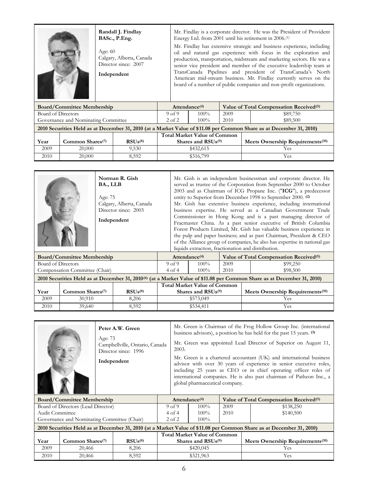|                                     | Randall J. Findlay<br>BASc., P.Eng.<br>Age: $60$<br>Calgary, Alberta, Canada<br>Director since: 2007<br>Independent |                   | Mr. Findlay is a corporate director. He was the President of Provident<br>Energy Ltd. from 2001 until his retirement in 2006. <sup>(1)</sup><br>Mr. Findlay has extensive strategic and business experience, including<br>oil and natural gas experience with focus in the exploration and<br>production, transportation, midstream and marketing sectors. He was a<br>senior vice president and member of the executive leadership team at<br>TransCanada Pipelines and president of TransCanada's North<br>American mid-stream business. Mr. Findlay currently serves on the<br>board of a number of public companies and non-profit organizations.<br>Attendance $(4)$ |      |                                                     |  |  |  |
|-------------------------------------|---------------------------------------------------------------------------------------------------------------------|-------------------|---------------------------------------------------------------------------------------------------------------------------------------------------------------------------------------------------------------------------------------------------------------------------------------------------------------------------------------------------------------------------------------------------------------------------------------------------------------------------------------------------------------------------------------------------------------------------------------------------------------------------------------------------------------------------|------|-----------------------------------------------------|--|--|--|
| <b>Board/Committee Membership</b>   |                                                                                                                     |                   |                                                                                                                                                                                                                                                                                                                                                                                                                                                                                                                                                                                                                                                                           |      | Value of Total Compensation Received <sup>(5)</sup> |  |  |  |
| Board of Directors                  |                                                                                                                     | 9 <sub>of</sub> 9 | $100\%$                                                                                                                                                                                                                                                                                                                                                                                                                                                                                                                                                                                                                                                                   | 2009 | \$89,750                                            |  |  |  |
| Governance and Nominating Committee |                                                                                                                     | $2$ of $2$        | 100%                                                                                                                                                                                                                                                                                                                                                                                                                                                                                                                                                                                                                                                                      | 2010 | \$89,500                                            |  |  |  |

|      | 2010 Securities Held as at December 31, 2010 (at a Market Value of \$11.08 per Common Share as at December 31, 2010) |              |                                            |                                              |  |  |  |  |  |
|------|----------------------------------------------------------------------------------------------------------------------|--------------|--------------------------------------------|----------------------------------------------|--|--|--|--|--|
|      |                                                                                                                      |              |                                            |                                              |  |  |  |  |  |
| Year | Common Shares <sup>(7)</sup>                                                                                         | $RSUs^{(8)}$ | Shares and RSU <sub>s</sub> <sup>(9)</sup> | Meets Ownership Requirements <sup>(10)</sup> |  |  |  |  |  |
| 2009 | 20,000                                                                                                               | 9.530        | \$432.615                                  | Yes.                                         |  |  |  |  |  |
| 2010 | 20,000                                                                                                               | 8.592        | \$316,799                                  | Yes                                          |  |  |  |  |  |

| Norman R. Gish<br>BA., LLB<br>Age: 75<br>Calgary, Alberta, Canada<br>Director since: 2003<br>Independent |  | Mr. Gish is an independent businessman and corporate director. He<br>served as trustee of the Corporation from September 2000 to October<br>2003 and as Chairman of ICG Propane Inc. ("ICG"), a predecessor<br>entity to Superior from December 1998 to September 2000. (2)<br>Mr. Gish has extensive business experience, including international<br>business expertise. He served as a Canadian Government Trade<br>Commissioner in Hong Kong and is a past managing director of<br>Fracmaster China. As a past senior executive of British Columbia<br>Forest Products Limited, Mr. Gish has valuable business experience in<br>the pulp and paper business; and as past Chairman, President & CEO<br>of the Alliance group of companies, he also has expertise in national gas |  |
|----------------------------------------------------------------------------------------------------------|--|------------------------------------------------------------------------------------------------------------------------------------------------------------------------------------------------------------------------------------------------------------------------------------------------------------------------------------------------------------------------------------------------------------------------------------------------------------------------------------------------------------------------------------------------------------------------------------------------------------------------------------------------------------------------------------------------------------------------------------------------------------------------------------|--|
|                                                                                                          |  | liquids extraction, fractionation and distribution.                                                                                                                                                                                                                                                                                                                                                                                                                                                                                                                                                                                                                                                                                                                                |  |
|                                                                                                          |  |                                                                                                                                                                                                                                                                                                                                                                                                                                                                                                                                                                                                                                                                                                                                                                                    |  |

|                                                                                                                                     | <b>Board/Committee Membership</b> |                   |                      | Attendance <sup>(4)</sup>           | Value of Total Compensation Received <sup>(5)</sup> |                                              |  |
|-------------------------------------------------------------------------------------------------------------------------------------|-----------------------------------|-------------------|----------------------|-------------------------------------|-----------------------------------------------------|----------------------------------------------|--|
| Board of Directors                                                                                                                  |                                   | 9 <sub>of</sub> 9 | $100\%$              | 2009                                | \$99,250                                            |                                              |  |
| Compensation Committee (Chair)                                                                                                      |                                   | 4 of 4            | $100\%$              | 2010                                | \$98,500                                            |                                              |  |
| 2010 Securities Held as at December 31, 2010 <sup>(6)</sup> (at a Market Value of \$11.08 per Common Share as at December 31, 2010) |                                   |                   |                      |                                     |                                                     |                                              |  |
|                                                                                                                                     |                                   |                   |                      | <b>Total Market Value of Common</b> |                                                     |                                              |  |
| Year                                                                                                                                | Common Shares <sup>(7)</sup>      | $RSUs^{(8)}$      | Shares and $RSUs(9)$ |                                     |                                                     | Meets Ownership Requirements <sup>(10)</sup> |  |
| 2009                                                                                                                                | 30.910                            | 8.206             | \$573,049            |                                     |                                                     | Yes                                          |  |

2010 39,640 8,592 \$534,411 Yes

|                                             | Peter A.W. Green<br>Age: 73<br>Campbellville, Ontario, Canada<br>Director since: 1996<br>Independent |  | 2003.             | global pharmaceutical company. |      | Mr. Green is Chairman of the Frog Hollow Group Inc. (international<br>business advisors), a position he has held for the past 15 years. (3)<br>Mr. Green was appointed Lead Director of Superior on August 11,<br>Mr. Green is a chartered accountant (UK) and international business<br>advisor with over 30 years of experience in senior executive roles,<br>including 25 years as CEO or in chief operating officer roles of<br>international companies. He is also past chairman of Patheon Inc., a |
|---------------------------------------------|------------------------------------------------------------------------------------------------------|--|-------------------|--------------------------------|------|----------------------------------------------------------------------------------------------------------------------------------------------------------------------------------------------------------------------------------------------------------------------------------------------------------------------------------------------------------------------------------------------------------------------------------------------------------------------------------------------------------|
| <b>Board/Committee Membership</b>           |                                                                                                      |  |                   | Attendance <sup>(4)</sup>      |      | Value of Total Compensation Received <sup>(5)</sup>                                                                                                                                                                                                                                                                                                                                                                                                                                                      |
| Board of Directors (Lead Director)          |                                                                                                      |  | 9 <sub>of</sub> 9 | $100\%$                        | 2009 | \$138,250                                                                                                                                                                                                                                                                                                                                                                                                                                                                                                |
| Audit Committee                             |                                                                                                      |  | 4 of 4            | $100\%$                        | 2010 | \$140,500                                                                                                                                                                                                                                                                                                                                                                                                                                                                                                |
| Governance and Nominating Committee (Chair) |                                                                                                      |  | $2$ of $2$        | $100\%$                        |      |                                                                                                                                                                                                                                                                                                                                                                                                                                                                                                          |
|                                             |                                                                                                      |  |                   |                                |      | 0010 $0.1000$ $0.11000$ $0.11000$ $0.1000$ $0.1000$ $0.1000$ $0.1000$ $0.1000$ $0.1000$ $0.1000$ $0.1000$ $0.1000$                                                                                                                                                                                                                                                                                                                                                                                       |

|      | 2010 Securities Held as at December 31, 2010 (at a Market Value of \$11.08 per Common Share as at December 31, 2010) |              |                                     |                                              |  |  |  |
|------|----------------------------------------------------------------------------------------------------------------------|--------------|-------------------------------------|----------------------------------------------|--|--|--|
|      |                                                                                                                      |              | <b>Total Market Value of Common</b> |                                              |  |  |  |
| Year | Common Shares <sup>(7)</sup>                                                                                         | $RSUs^{(8)}$ | Shares and $RSUs(9)$                | Meets Ownership Requirements <sup>(10)</sup> |  |  |  |
| 2009 | 20,466                                                                                                               | 8.206        | \$420,045                           | Yes                                          |  |  |  |
| 2010 | 20,466                                                                                                               | 8.592        | \$321,963                           | Yes                                          |  |  |  |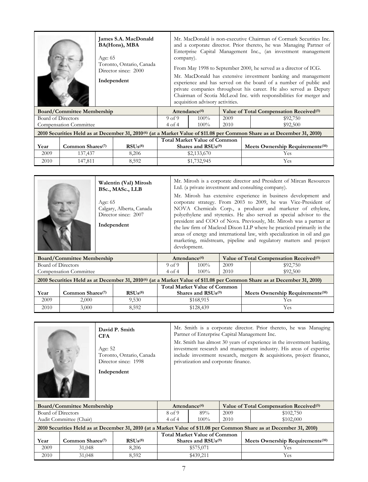|                    |                                   | James S.A. MacDonald<br>BA(Hons), MBA<br>Age: $65$<br>Toronto, Ontario, Canada<br>Director since: 2000<br>Independent |                      | Mr. MacDonald is non-executive Chairman of Cormark Securities Inc.<br>and a corporate director. Prior thereto, he was Managing Partner of<br>Enterprise Capital Management Inc., (an investment management<br>company).<br>From May 1998 to September 2000, he served as a director of ICG.<br>Mr. MacDonald has extensive investment banking and management<br>experience and has served on the board of a number of public and<br>private companies throughout his career. He also served as Deputy<br>Chairman of Scotia McLeod Inc. with responsibilities for merger and<br>acquisition advisory activities. |                                                     |      |            |                                                                                                                                     |
|--------------------|-----------------------------------|-----------------------------------------------------------------------------------------------------------------------|----------------------|------------------------------------------------------------------------------------------------------------------------------------------------------------------------------------------------------------------------------------------------------------------------------------------------------------------------------------------------------------------------------------------------------------------------------------------------------------------------------------------------------------------------------------------------------------------------------------------------------------------|-----------------------------------------------------|------|------------|-------------------------------------------------------------------------------------------------------------------------------------|
|                    | <b>Board/Committee Membership</b> |                                                                                                                       | Attendance $(4)$     |                                                                                                                                                                                                                                                                                                                                                                                                                                                                                                                                                                                                                  | Value of Total Compensation Received <sup>(5)</sup> |      |            |                                                                                                                                     |
| Board of Directors |                                   |                                                                                                                       | 9 <sub>of</sub> 9    |                                                                                                                                                                                                                                                                                                                                                                                                                                                                                                                                                                                                                  | $100\%$                                             | 2009 |            | \$92,750                                                                                                                            |
|                    | <b>Compensation Committee</b>     |                                                                                                                       | $4$ of $4$           |                                                                                                                                                                                                                                                                                                                                                                                                                                                                                                                                                                                                                  | $100\%$                                             | 2010 |            | \$92,500                                                                                                                            |
|                    |                                   |                                                                                                                       |                      |                                                                                                                                                                                                                                                                                                                                                                                                                                                                                                                                                                                                                  |                                                     |      |            | 2010 Securities Held as at December 31, 2010 <sup>(6)</sup> (at a Market Value of \$11.08 per Common Share as at December 31, 2010) |
|                    |                                   |                                                                                                                       |                      |                                                                                                                                                                                                                                                                                                                                                                                                                                                                                                                                                                                                                  | <b>Total Market Value of Common</b>                 |      |            |                                                                                                                                     |
| Year               | Common Shares $(7)$               | $RSUs^{(8)}$                                                                                                          | Shares and $RSUs(9)$ |                                                                                                                                                                                                                                                                                                                                                                                                                                                                                                                                                                                                                  |                                                     |      |            | Meets Ownership Requirements <sup>(10)</sup>                                                                                        |
| 2009               | 137,437                           | 8,206                                                                                                                 |                      | \$2,133,670                                                                                                                                                                                                                                                                                                                                                                                                                                                                                                                                                                                                      |                                                     |      | <b>Yes</b> |                                                                                                                                     |
| 2010               | 147,811                           | 8,592                                                                                                                 |                      | \$1,732,945                                                                                                                                                                                                                                                                                                                                                                                                                                                                                                                                                                                                      |                                                     |      | Yes        |                                                                                                                                     |

| Walentin (Val) Mirosh<br>BSc., MASc., LLB<br>Age: $65$<br>Calgary, Alberta, Canada<br>Director since: 2007<br>Independent | Mr. Mirosh is a corporate director and President of Mircan Resources<br>Ltd. (a private investment and consulting company).<br>Mr. Mirosh has extensive experience in business development and<br>corporate strategy. From 2003 to 2009, he was Vice-President of<br>NOVA Chemicals Corp., a producer and marketer of ethylene,<br>polyethylene and styrenics. He also served as special advisor to the<br>president and COO of Nova. Previously, Mr. Mirosh was a partner at<br>the law firm of Macleod Dixon LLP where he practiced primarily in the<br>areas of energy and international law, with specialization in oil and gas<br>marketing, midstream, pipeline and regulatory matters and project<br>development. |
|---------------------------------------------------------------------------------------------------------------------------|--------------------------------------------------------------------------------------------------------------------------------------------------------------------------------------------------------------------------------------------------------------------------------------------------------------------------------------------------------------------------------------------------------------------------------------------------------------------------------------------------------------------------------------------------------------------------------------------------------------------------------------------------------------------------------------------------------------------------|
|                                                                                                                           |                                                                                                                                                                                                                                                                                                                                                                                                                                                                                                                                                                                                                                                                                                                          |

| <b>Board/Committee Membership</b>                                                                                                   |                              |              |                   | Attendance $(4)$                    | Value of Total Compensation Received <sup>(5)</sup> |                                              |  |
|-------------------------------------------------------------------------------------------------------------------------------------|------------------------------|--------------|-------------------|-------------------------------------|-----------------------------------------------------|----------------------------------------------|--|
| Board of Directors                                                                                                                  |                              |              | 9 <sub>of</sub> 9 | $100\%$                             | 2009                                                | \$92,750                                     |  |
| <b>Compensation Committee</b>                                                                                                       |                              |              | 4 of 4            | $100\%$                             | 2010                                                | \$92,500                                     |  |
| 2010 Securities Held as at December 31, 2010 <sup>(6)</sup> (at a Market Value of \$11.08 per Common Share as at December 31, 2010) |                              |              |                   |                                     |                                                     |                                              |  |
|                                                                                                                                     |                              |              |                   | <b>Total Market Value of Common</b> |                                                     |                                              |  |
| Year                                                                                                                                | Common Shares <sup>(7)</sup> | $RSUs^{(8)}$ |                   | Shares and $RSUs$ <sup>(9)</sup>    |                                                     | Meets Ownership Requirements <sup>(10)</sup> |  |
| 2009                                                                                                                                | 2,000                        | 9.530        | \$168,915         |                                     |                                                     | Yes                                          |  |
| 2010                                                                                                                                | 3,000                        | 8.592        | \$128,439         |                                     |                                                     | Y es                                         |  |

| David P. Smith<br><b>CFA</b> |                                   |                                                                                                                      |  | Mr. Smith is a corporate director. Prior thereto, he was Managing<br>Partner of Enterprise Capital Management Inc.                                                                                                                                             |                                            |      |     |                                                     |
|------------------------------|-----------------------------------|----------------------------------------------------------------------------------------------------------------------|--|----------------------------------------------------------------------------------------------------------------------------------------------------------------------------------------------------------------------------------------------------------------|--------------------------------------------|------|-----|-----------------------------------------------------|
|                              |                                   | Age: 52<br>Toronto, Ontario, Canada<br>Director since: 1998                                                          |  | Mr. Smith has almost 30 years of experience in the investment banking,<br>investment research and management industry. His areas of expertise<br>include investment research, mergers & acquisitions, project finance,<br>privatization and corporate finance. |                                            |      |     |                                                     |
|                              |                                   | Independent                                                                                                          |  |                                                                                                                                                                                                                                                                |                                            |      |     |                                                     |
|                              | <b>Board/Committee Membership</b> |                                                                                                                      |  | Attendance <sup>(4)</sup>                                                                                                                                                                                                                                      |                                            |      |     | Value of Total Compensation Received <sup>(5)</sup> |
| Board of Directors           |                                   |                                                                                                                      |  | 8 of 9                                                                                                                                                                                                                                                         | 89%                                        | 2009 |     | \$102,750                                           |
|                              | Audit Committee (Chair)           |                                                                                                                      |  | $4$ of $4$                                                                                                                                                                                                                                                     | $100\%$                                    | 2010 |     | \$102,000                                           |
|                              |                                   | 2010 Securities Held as at December 31, 2010 (at a Market Value of \$11.08 per Common Share as at December 31, 2010) |  |                                                                                                                                                                                                                                                                |                                            |      |     |                                                     |
|                              |                                   |                                                                                                                      |  |                                                                                                                                                                                                                                                                | <b>Total Market Value of Common</b>        |      |     |                                                     |
| Year                         | Common Shares <sup>(7)</sup>      | $RSUs^{(8)}$                                                                                                         |  |                                                                                                                                                                                                                                                                | Shares and RSU <sub>s</sub> <sup>(9)</sup> |      |     | Meets Ownership Requirements <sup>(10)</sup>        |
| 2009                         | 31,048                            | 8,206                                                                                                                |  |                                                                                                                                                                                                                                                                | \$575,071                                  |      |     | Yes.                                                |
| 2010                         | 31,048                            | 8,592                                                                                                                |  | \$439,211                                                                                                                                                                                                                                                      |                                            |      | Yes |                                                     |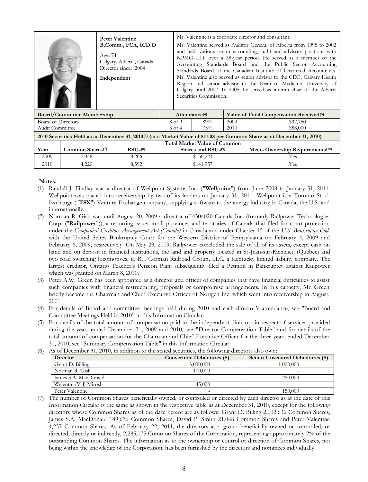|                           |                                   | <b>Peter Valentine</b><br>B.Comm., FCA, ICD.D<br>Age: 74<br>Calgary, Alberta, Canada<br>Director since: 2004<br>Independent | Mr. Valentine is a corporate director and consultant.<br>Mr. Valentine served as Auditor General of Alberta from 1995 to 2002<br>and held various senior accounting, audit and advisory positions with<br>KPMG LLP over a 38-year period. He served as a member of the<br>Accounting Standards Board and the Public Sector Accounting<br>Standards Board of the Canadian Institute of Chartered Accountants.<br>Mr. Valentine also served as senior advisor to the CEO, Calgary Health<br>Region and senior advisor to the Dean of Medicine, University of<br>Calgary until 2007. In 2005, he served as interim chair of the Alberta<br>Securities Commission. |                                            |                                     |      |                                                                                                                                     |  |
|---------------------------|-----------------------------------|-----------------------------------------------------------------------------------------------------------------------------|----------------------------------------------------------------------------------------------------------------------------------------------------------------------------------------------------------------------------------------------------------------------------------------------------------------------------------------------------------------------------------------------------------------------------------------------------------------------------------------------------------------------------------------------------------------------------------------------------------------------------------------------------------------|--------------------------------------------|-------------------------------------|------|-------------------------------------------------------------------------------------------------------------------------------------|--|
|                           | <b>Board/Committee Membership</b> |                                                                                                                             |                                                                                                                                                                                                                                                                                                                                                                                                                                                                                                                                                                                                                                                                | Attendance $(4)$                           |                                     |      | Value of Total Compensation Received <sup>(5)</sup>                                                                                 |  |
| <b>Board of Directors</b> |                                   |                                                                                                                             |                                                                                                                                                                                                                                                                                                                                                                                                                                                                                                                                                                                                                                                                | 8 of 9                                     | 89%                                 | 2009 | \$92,750                                                                                                                            |  |
| Audit Committee           |                                   |                                                                                                                             |                                                                                                                                                                                                                                                                                                                                                                                                                                                                                                                                                                                                                                                                | $3$ of $4$                                 | 75%                                 | 2010 | \$88,000                                                                                                                            |  |
|                           |                                   |                                                                                                                             |                                                                                                                                                                                                                                                                                                                                                                                                                                                                                                                                                                                                                                                                |                                            |                                     |      | 2010 Securities Held as at December 31, 2010 <sup>(6)</sup> (at a Market Value of \$11.08 per Common Share as at December 31, 2010) |  |
|                           |                                   |                                                                                                                             |                                                                                                                                                                                                                                                                                                                                                                                                                                                                                                                                                                                                                                                                |                                            | <b>Total Market Value of Common</b> |      |                                                                                                                                     |  |
| Year                      | Common Shares <sup>(7)</sup>      | RSUs <sup>(8)</sup>                                                                                                         |                                                                                                                                                                                                                                                                                                                                                                                                                                                                                                                                                                                                                                                                | Shares and RSU <sub>s</sub> <sup>(9)</sup> |                                     |      | Meets Ownership Requirements <sup>(10)</sup>                                                                                        |  |
| 2009                      | 2,048                             | 8,206                                                                                                                       |                                                                                                                                                                                                                                                                                                                                                                                                                                                                                                                                                                                                                                                                |                                            | \$150,221                           |      | <b>Yes</b>                                                                                                                          |  |
| 2010                      | 4,220                             | 8,592                                                                                                                       |                                                                                                                                                                                                                                                                                                                                                                                                                                                                                                                                                                                                                                                                | \$141,957                                  |                                     |      | Yes                                                                                                                                 |  |

#### **Notes:**

- (1) Randall J. Findlay was a director of Wellpoint Systems Inc. ("**Wellpoint**") from June 2008 to January 31, 2011. Wellpoint was placed into receivership by two of its lenders on January 31, 2011. Wellpoint is a Toronto Stock Exchange ("**TSX**") Venture Exchange company, supplying software to the energy industry in Canada, the U.S. and internationally.
- (2) Norman R. Gish was until August 20, 2009 a director of 4504020 Canada Inc. (formerly Railpower Technologies Corp. ("**Railpower**")), a reporting issuer in all provinces and territories of Canada that filed for court protection under the *Companies' Creditors Arrangement Act (Canada)* in Canada and under Chapter 15 of the *U.S. Bankruptcy Code* with the United States Bankruptcy Court for the Western District of Pennsylvania on February 4, 2009 and February 6, 2009, respectively. On May 29, 2009, Railpower concluded the sale of all of its assets, except cash on hand and on deposit in financial institutions, the land and property located in St-Jean-sur-Richelieu (Québec) and two road switching locomotives, to R.J. Corman Railroad Group, LLC, a Kentucky limited liability company. The largest creditor, Ontario Teacher's Pension Plan, subsequently filed a Petition in Bankruptcy against Railpower which was granted on March 8, 2010.
- (3) Peter A.W. Green has been appointed as a director and officer of companies that have financial difficulties to assist such companies with financial restructuring, proposals or compromise arrangements. In this capacity, Mr. Green briefly became the Chairman and Chief Executive Officer of Norigen Inc. which went into receivership in August, 2001.
- (4) For details of Board and committee meetings held during 2010 and each director's attendance, see "Board and Committee Meetings Held in 2010" in this Information Circular.
- (5) For details of the total amount of compensation paid to the independent directors in respect of services provided during the years ended December 31, 2009 and 2010, see "Director Compensation Table" and for details of the total amount of compensation for the Chairman and Chief Executive Officer for the three years ended December 31, 2010, see "Summary Compensation Table" in this Information Circular.
- (6) As of December 31, 2010, in addition to the stated securities, the following directors also own:

| <b>Director</b>       | <b>Convertible Debentures (\$)</b> | <b>Senior Unsecured Debentures (\$)</b> |
|-----------------------|------------------------------------|-----------------------------------------|
| Grant D. Billing      | 3,030,000                          | 1.000.000                               |
| Norman R. Gish        | 100,000                            |                                         |
| James S.A. MacDonald  | $\overline{\phantom{0}}$           | 250,000                                 |
| Walentin (Val) Mirosh | 45,000                             |                                         |
| Peter Valentine       |                                    | 150,000                                 |

(7) The number of Common Shares beneficially owned, or controlled or directed by each director as at the date of this Information Circular is the same as shown in the respective table as at December 31, 2010, except for the following directors whose Common Shares as of the date hereof are as follows: Grant D. Billing 2,002,636 Common Shares, James S.A. MacDonald 149,676 Common Shares, David P. Smith 21,048 Common Shares and Peter Valentine 4,257 Common Shares. As of February 22, 2011, the directors as a group beneficially owned or controlled, or directed, directly or indirectly, 2,285,075 Common Shares of the Corporation, representing approximately 2% of the outstanding Common Shares. The information as to the ownership or control or direction of Common Shares, not being within the knowledge of the Corporation, has been furnished by the directors and nominees individually.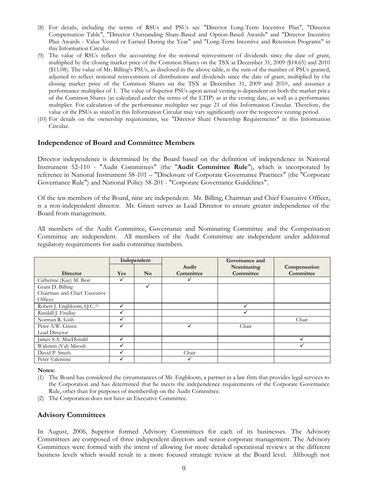- (8) For details, including the terms of RSUs and PSUs see "Director Long-Term Incentive Plan", "Director Compensation Table", "Director Outstanding Share-Based and Option-Based Awards" and "Director Incentive Plan Awards - Value Vested or Earned During the Year" and "Long-Term Incentive and Retention Programs" in this Information Circular.
- (9) The value of RSUs reflect the accounting for the notional reinvestment of dividends since the date of grant, multiplied by the closing market price of the Common Shares on the TSX at December 31, 2009 (\$14.65) and 2010 (\$11.08). The value of Mr. Billing's PSUs, as disclosed in the above table, is the sum of the number of PSUs granted, adjusted to reflect notional reinvestment of distributions and dividends since the date of grant, multiplied by the closing market price of the Common Shares on the TSX at December 31, 2009 and 2010, and assumes a performance multiplier of 1. The value of Superior PSUs upon actual vesting is dependent on both the market pric e of the Common Shares (as calculated under the terms of the LTIP) as at the vesting date, as well as a performance multiplier. For calculation of the performance multiplier see page 21 of this Information Circular. Therefore, the value of the PSUs as stated in this Information Circular may vary significantly over the respective vesting period.
- (10) For details on the ownership requirements, see "Director Share Ownership Requirements" in this Information Circular.

#### **Independence of Board and Committee Members**

Director independence is determined by the Board based on the definition of independence in National Instrument 52-110 - "Audit Committees" (the "**Audit Committee Rule**"), which is incorporated by reference in National Instrument 58-101 – "Disclosure of Corporate Governance Practices" (the "Corporate Governance Rule") and National Policy 58-201 - "Corporate Governance Guidelines".

Of the ten members of the Board, nine are independent. Mr. Billing, Chairman and Chief Executive Officer, is a non-independent director. Mr. Green serves as Lead Director to ensure greater independence of the Board from management.

All members of the Audit Committee, Governance and Nominating Committee and the Compensation Committee are independent. All members of the Audit Committee are independent under additional regulatory requirements for audit committee members.

|                                         | Independent |                        |           | Governance and |              |
|-----------------------------------------|-------------|------------------------|-----------|----------------|--------------|
|                                         |             |                        | Audit     | Nominating     | Compensation |
| <b>Director</b>                         | <b>Yes</b>  | $\mathbf{N}\mathbf{o}$ | Committee | Committee      | Committee    |
| Catherine (Kay) M. Best                 |             |                        |           |                |              |
| Grant D. Billing                        |             | ✓                      |           |                |              |
| Chairman and Chief Executive            |             |                        |           |                |              |
| Officer                                 |             |                        |           |                |              |
| Robert J. Engbloom, Q.C. <sup>(1)</sup> |             |                        |           |                |              |
| Randall J. Findlay                      |             |                        |           |                |              |
| Norman R. Gish                          |             |                        |           |                | Chair        |
| Peter A.W. Green                        | ✓           |                        |           | Chair          |              |
| Lead Director                           |             |                        |           |                |              |
| James S.A. MacDonald                    |             |                        |           |                |              |
| Walentin (Val) Mirosh                   |             |                        |           |                |              |
| David P. Smith                          |             |                        | Chair     |                |              |
| Peter Valentine                         |             |                        |           |                |              |

**Notes:**

- (1) The Board has considered the circumstances of Mr. Engbloom, a partner in a law firm that provides legal services to the Corporation and has determined that he meets the independence requirements of the Corporate Governance Rule, other than for purposes of membership on the Audit Committee.
- (2) The Corporation does not have an Executive Committee.

## **Advisory Committees**

In August, 2006, Superior formed Advisory Committees for each of its businesses. The Advisory Committees are composed of three independent directors and senior corporate management. The Advisory Committees were formed with the intent of allowing for more detailed operational reviews at the different business levels which would result in a more focused strategic review at the Board level. Although not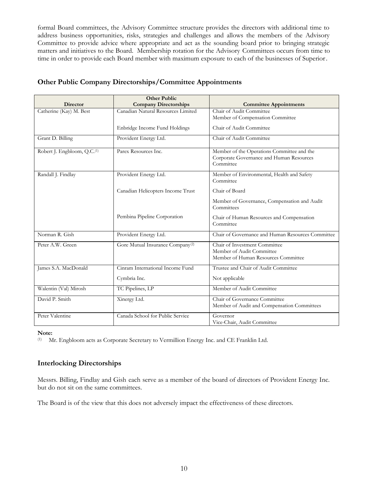formal Board committees, the Advisory Committee structure provides the directors with additional time to address business opportunities, risks, strategies and challenges and allows the members of the Advisory Committee to provide advice where appropriate and act as the sounding board prior to bringing strategic matters and initiatives to the Board. Membership rotation for the Advisory Committees occurs from time to time in order to provide each Board member with maximum exposure to each of the businesses of Superior.

|                                         | <b>Other Public</b>                          |                                                                                                     |
|-----------------------------------------|----------------------------------------------|-----------------------------------------------------------------------------------------------------|
| <b>Director</b>                         | <b>Company Directorships</b>                 | <b>Committee Appointments</b>                                                                       |
| Catherine (Kay) M. Best                 | Canadian Natural Resources Limited           | Chair of Audit Committee                                                                            |
|                                         |                                              | Member of Compensation Committee                                                                    |
|                                         | Enbridge Income Fund Holdings                | Chair of Audit Committee                                                                            |
| Grant D. Billing                        | Provident Energy Ltd.                        | Chair of Audit Committee                                                                            |
| Robert J. Engbloom, Q.C. <sup>(1)</sup> | Parex Resources Inc.                         | Member of the Operations Committee and the<br>Corporate Governance and Human Resources<br>Committee |
| Randall J. Findlay                      | Provident Energy Ltd.                        | Member of Environmental, Health and Safety<br>Committee                                             |
|                                         | Canadian Helicopters Income Trust            | Chair of Board                                                                                      |
|                                         |                                              | Member of Governance, Compensation and Audit<br>Committees                                          |
|                                         | Pembina Pipeline Corporation                 | Chair of Human Resources and Compensation<br>Committee                                              |
| Norman R. Gish                          | Provident Energy Ltd.                        | Chair of Governance and Human Resources Committee                                                   |
| Peter A.W. Green                        | Gore Mutual Insurance Company <sup>(2)</sup> | Chair of Investment Committee                                                                       |
|                                         |                                              | Member of Audit Committee                                                                           |
|                                         |                                              | Member of Human Resources Committee                                                                 |
| James S.A. MacDonald                    | Cinram International Income Fund             | Trustee and Chair of Audit Committee                                                                |
|                                         | Cymbria Inc.                                 | Not applicable                                                                                      |
| Walentin (Val) Mirosh                   | TC Pipelines, LP                             | Member of Audit Committee                                                                           |
| David P. Smith                          | Xinergy Ltd.                                 | Chair of Governance Committee<br>Member of Audit and Compensation Committees                        |
| Peter Valentine                         | Canada School for Public Service             | Governor<br>Vice-Chair, Audit Committee                                                             |

## **Other Public Company Directorships/Committee Appointments**

**Note:**

(1) Mr. Engbloom acts as Corporate Secretary to Vermillion Energy Inc. and CE Franklin Ltd.

## **Interlocking Directorships**

Messrs. Billing, Findlay and Gish each serve as a member of the board of directors of Provident Energy Inc. but do not sit on the same committees.

The Board is of the view that this does not adversely impact the effectiveness of these directors.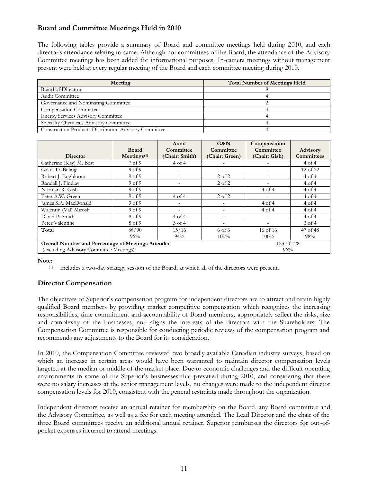## **Board and Committee Meetings Held in 2010**

The following tables provide a summary of Board and committee meetings held during 2010, and each director's attendance relating to same. Although not committees of the Board, the attendance of the Advisory Committee meetings has been added for informational purposes. In-camera meetings without management present were held at every regular meeting of the Board and each committee meeting during 2010.

| Meeting                                                      | <b>Total Number of Meetings Held</b> |
|--------------------------------------------------------------|--------------------------------------|
| Board of Directors                                           |                                      |
| Audit Committee                                              |                                      |
| Governance and Nominating Committee                          |                                      |
| <b>Compensation Committee</b>                                |                                      |
| <b>Energy Services Advisory Committee</b>                    |                                      |
| Specialty Chemicals Advisory Committee                       |                                      |
| <b>Construction Products Distribution Advisory Committee</b> |                                      |

|                                                           |                         | Audit                    | G&N            | Compensation  |                   |
|-----------------------------------------------------------|-------------------------|--------------------------|----------------|---------------|-------------------|
|                                                           | <b>Board</b>            | Committee                | Committee      | Committee     | <b>Advisory</b>   |
| <b>Director</b>                                           | Mectings <sup>(1)</sup> | (Chair: Smith)           | (Chair: Green) | (Chair: Gish) | <b>Committees</b> |
| Catherine (Kay) M. Best                                   | 7 <sub>of</sub> 9       | 4 of 4                   |                |               | 4 of 4            |
| Grant D. Billing                                          | 9 <sub>of</sub> 9       | -                        |                |               | 12 of 12          |
| Robert J. Engbloom                                        | 9 <sub>of</sub> 9       | $\overline{\phantom{a}}$ | $2$ of $2$     |               | 4 of 4            |
| Randall J. Findlav                                        | 9 <sub>of</sub> 9       | $\equiv$                 | $2$ of $2$     |               | $4$ of $4$        |
| Norman R. Gish                                            | 9 <sub>of</sub> 9       |                          |                | 4 of 4        | $4$ of $4$        |
| Peter A.W. Green                                          | 9 <sub>of</sub> 9       | 4 of 4                   | $2$ of $2$     |               | 4 of 4            |
| James S.A. MacDonald                                      | 9 <sub>of</sub> 9       |                          |                | 4 of 4        | 4 of 4            |
| Walentin (Val) Mirosh                                     | 9 <sub>of</sub> 9       | $\overline{\phantom{a}}$ |                | 4 of 4        | 4 of 4            |
| David P. Smith                                            | 8 of 9                  | 4 of 4                   |                |               | $4$ of $4$        |
| Peter Valentine                                           | 8 of 9                  | $3$ of $4$               |                |               | $3$ of $4$        |
| Total                                                     | 86/90                   | 15/16                    | 6 of 6         | 16 of 16      | 47 of 48          |
|                                                           | 96%                     | 94%                      | $100\%$        | $100\%$       | 98%               |
| <b>Overall Number and Percentage of Meetings Attended</b> | 123 of 128              |                          |                |               |                   |
| (excluding Advisory Committee Meetings)                   | 96%                     |                          |                |               |                   |

**Note:**

(1) Includes a two-day strategy session of the Board, at which all of the directors were present.

## **Director Compensation**

The objectives of Superior's compensation program for independent directors are to attract and retain highly qualified Board members by providing market competitive compensation which recognizes the increasing responsibilities, time commitment and accountability of Board members; appropriately reflect the risks, size and complexity of the businesses; and aligns the interests of the directors with the Shareholders. The Compensation Committee is responsible for conducting periodic reviews of the compensation program and recommends any adjustments to the Board for its consideration.

In 2010, the Compensation Committee reviewed two broadly available Canadian industry surveys, based on which an increase in certain areas would have been warranted to maintain director compensation levels targeted at the median or middle of the market place. Due to economic challenges and the difficult operating environments in some of the Superior's businesses that prevailed during 2010, and considering that there were no salary increases at the senior management levels, no changes were made to the independent director compensation levels for 2010, consistent with the general restraints made throughout the organization.

Independent directors receive an annual retainer for membership on the Board, any Board committe e and the Advisory Committee, as well as a fee for each meeting attended. The Lead Director and the chair of the three Board committees receive an additional annual retainer. Superior reimburses the directors for out-ofpocket expenses incurred to attend meetings.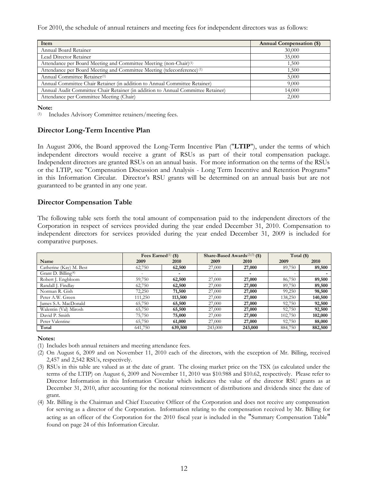For 2010, the schedule of annual retainers and meeting fees for independent directors was as follows:

| Item                                                                               | <b>Annual Compensation (\$)</b> |
|------------------------------------------------------------------------------------|---------------------------------|
| Annual Board Retainer                                                              | 30,000                          |
| Lead Director Retainer                                                             | 35,000                          |
| Attendance per Board Meeting and Committee Meeting (non-Chair)(1)                  | 1,500                           |
| Attendance per Board Meeting and Committee Meeting (teleconference) <sup>(1)</sup> | 1,500                           |
| Annual Committee Retainer <sup>(1)</sup>                                           | 5,000                           |
| Annual Committee Chair Retainer (in addition to Annual Committee Retainer)         | 9,000                           |
| Annual Audit Committee Chair Retainer (in addition to Annual Committee Retainer)   | 14,000                          |
| Attendance per Committee Meeting (Chair)                                           | 2,000                           |

**Note:**

(1) Includes Advisory Committee retainers/meeting fees.

## **Director Long-Term Incentive Plan**

In August 2006, the Board approved the Long-Term Incentive Plan ("**LTIP**"), under the terms of which independent directors would receive a grant of RSUs as part of their total compensation package. Independent directors are granted RSUs on an annual basis. For more information on the terms of the RSUs or the LTIP, see "Compensation Discussion and Analysis - Long Term Incentive and Retention Programs" in this Information Circular. Director's RSU grants will be determined on an annual basis but are not guaranteed to be granted in any one year.

## **Director Compensation Table**

The following table sets forth the total amount of compensation paid to the independent directors of the Corporation in respect of services provided during the year ended December 31, 2010. Compensation to independent directors for services provided during the year ended December 31, 2009 is included for comparative purposes.

|                                 | Fees Earned $(1)$ (\$) |                |         | Share-Based Awards $(2)(3)$ (\$) | Total $(\$)$ |         |
|---------------------------------|------------------------|----------------|---------|----------------------------------|--------------|---------|
| Name                            | 2009                   | 2010           | 2009    | 2010                             | 2009         | 2010    |
| Catherine (Kay) M. Best         | 62,750                 | 62,500         | 27,000  | 27,000                           | 89,750       | 89,500  |
| Grant D. Billing <sup>(4)</sup> |                        | $\overline{a}$ |         | $\overline{\phantom{a}}$         |              |         |
| Robert J. Engbloom              | 59,750                 | 62,500         | 27,000  | 27,000                           | 86,750       | 89,500  |
| Randall J. Findlay              | 62,750                 | 62,500         | 27,000  | 27,000                           | 89,750       | 89,500  |
| Norman R. Gish                  | 72,250                 | 71,500         | 27,000  | 27,000                           | 99,250       | 98,500  |
| Peter A.W. Green                | 111,250                | 113,500        | 27,000  | 27,000                           | 138,250      | 140,500 |
| James S.A. MacDonald            | 65,750                 | 65,500         | 27,000  | 27,000                           | 92,750       | 92,500  |
| Walentin (Val) Mirosh           | 65,750                 | 65,500         | 27,000  | 27,000                           | 92,750       | 92,500  |
| David P. Smith                  | 75,750                 | 75,000         | 27,000  | 27,000                           | 102,750      | 102,000 |
| Peter Valentine                 | 65,750                 | 61,000         | 27,000  | 27,000                           | 92,750       | 88,000  |
| Total                           | 641,750                | 639,500        | 243,000 | 243,000                          | 884,750      | 882,500 |

#### **Notes:**

- (1) Includes both annual retainers and meeting attendance fees.
- (2) On August 6, 2009 and on November 11, 2010 each of the directors, with the exception of Mr. Billing, received 2,457 and 2,542 RSUs, respectively.
- (3) RSUs in this table are valued as at the date of grant. The closing market price on the TSX (as calculated under the terms of the LTIP) on August 6, 2009 and November 11, 2010 was \$10.988 and \$10.62, respectively. Please refer to Director Information in this Information Circular which indicates the value of the director RSU grants as at December 31, 2010, after accounting for the notional reinvestment of distributions and dividends since the date of grant.
- (4) Mr. Billing is the Chairman and Chief Executive Officer of the Corporation and does not receive any compensation for serving as a director of the Corporation. Information relating to the compensation r eceived by Mr. Billing for acting as an officer of the Corporation for the 2010 fiscal year is included in the "Summary Compensation Table" found on page 24 of this Information Circular.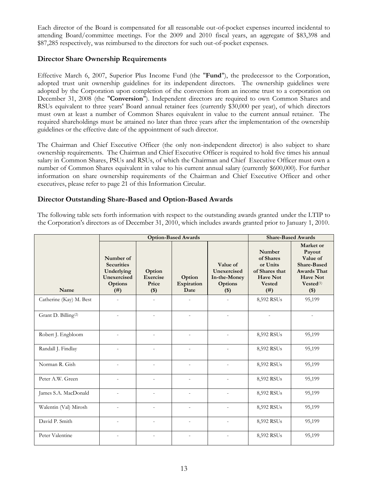Each director of the Board is compensated for all reasonable out-of-pocket expenses incurred incidental to attending Board/committee meetings. For the 2009 and 2010 fiscal years, an aggregate of \$83,398 and \$87,285 respectively, was reimbursed to the directors for such out-of-pocket expenses.

## **Director Share Ownership Requirements**

Effective March 6, 2007, Superior Plus Income Fund (the "**Fund**"), the predecessor to the Corporation, adopted trust unit ownership guidelines for its independent directors. The ownership guidelines were adopted by the Corporation upon completion of the conversion from an income trust to a corporation on December 31, 2008 (the "**Conversion**"). Independent directors are required to own Common Shares and RSUs equivalent to three years' Board annual retainer fees (currently \$30,000 per year), of which directors must own at least a number of Common Shares equivalent in value to the current annual retainer. The required shareholdings must be attained no later than three years after the implementation of the ownership guidelines or the effective date of the appointment of such director.

The Chairman and Chief Executive Officer (the only non-independent director) is also subject to share ownership requirements. The Chairman and Chief Executive Officer is required to hold five times his annual salary in Common Shares, PSUs and RSUs, of which the Chairman and Chief Executive Officer must own a number of Common Shares equivalent in value to his current annual salary (currently \$600,000). For further information on share ownership requirements of the Chairman and Chief Executive Officer and other executives, please refer to page 21 of this Information Circular.

## **Director Outstanding Share-Based and Option-Based Awards**

The following table sets forth information with respect to the outstanding awards granted under the LTIP to the Corporation's directors as of December 31, 2010, which includes awards granted prior to January 1, 2010.

|                                 |                                                                                | <b>Option-Based Awards</b>           | <b>Share-Based Awards</b>    |                                                             |                                                                                               |                                                                                                                                    |
|---------------------------------|--------------------------------------------------------------------------------|--------------------------------------|------------------------------|-------------------------------------------------------------|-----------------------------------------------------------------------------------------------|------------------------------------------------------------------------------------------------------------------------------------|
| Name                            | Number of<br><b>Securities</b><br>Underlying<br>Unexercised<br>Options<br>(# ) | Option<br>Exercise<br>Price<br>$($)$ | Option<br>Expiration<br>Date | Value of<br>Unexercised<br>In-the-Money<br>Options<br>$($)$ | Number<br>of Shares<br>or Units<br>of Shares that<br><b>Have Not</b><br><b>Vested</b><br>(# ) | Market or<br>Payout<br>Value of<br><b>Share-Based</b><br><b>Awards That</b><br><b>Have Not</b><br>$Vested$ <sup>(1)</sup><br>$($)$ |
| Catherine (Kay) M. Best         | $\overline{\phantom{a}}$                                                       |                                      | $\overline{\phantom{a}}$     | $\overline{\phantom{m}}$                                    | 8,592 RSUs                                                                                    | 95,199                                                                                                                             |
| Grant D. Billing <sup>(2)</sup> |                                                                                |                                      | $\overline{a}$               | $\overline{\phantom{a}}$                                    |                                                                                               | $\overline{\phantom{a}}$                                                                                                           |
| Robert J. Engbloom              | $\overline{\phantom{a}}$                                                       |                                      | $\overline{\phantom{a}}$     |                                                             | 8,592 RSUs                                                                                    | 95,199                                                                                                                             |
| Randall J. Findlay              | $\overline{a}$                                                                 |                                      | $\overline{a}$               | $\overline{a}$                                              | 8,592 RSUs                                                                                    | 95,199                                                                                                                             |
| Norman R. Gish                  | $\sim$                                                                         | $\overline{a}$                       | $\overline{\phantom{a}}$     |                                                             | 8,592 RSUs                                                                                    | 95,199                                                                                                                             |
| Peter A.W. Green                | $\overline{\phantom{a}}$                                                       | $\overline{a}$                       | $\overline{\phantom{a}}$     |                                                             | 8,592 RSUs                                                                                    | 95,199                                                                                                                             |
| James S.A. MacDonald            | $\overline{\phantom{a}}$                                                       | $\overline{a}$                       | $\overline{\phantom{a}}$     |                                                             | 8,592 RSUs                                                                                    | 95,199                                                                                                                             |
| Walentin (Val) Mirosh           | $\overline{a}$                                                                 | $\overline{a}$                       | $\overline{\phantom{a}}$     |                                                             | 8,592 RSUs                                                                                    | 95,199                                                                                                                             |
| David P. Smith                  | $\overline{a}$                                                                 | $\overline{a}$                       | $\overline{a}$               | $\overline{a}$                                              | 8,592 RSUs                                                                                    | 95,199                                                                                                                             |
| Peter Valentine                 | $\overline{\phantom{a}}$                                                       | $\overline{a}$                       | $\overline{\phantom{a}}$     | $\overline{a}$                                              | 8,592 RSUs                                                                                    | 95,199                                                                                                                             |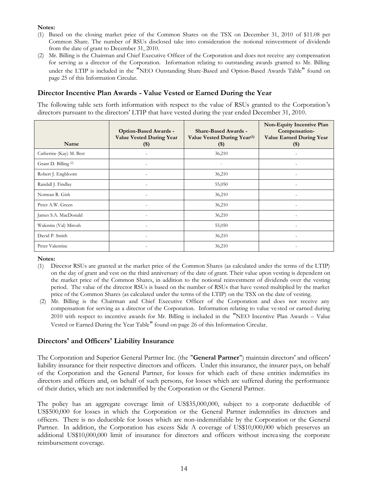**Notes:**

- (1) Based on the closing market price of the Common Shares on the TSX on December 31, 2010 of \$11.08 per Common Share. The number of RSUs disclosed take into consideration the notional reinvestment of dividends from the date of grant to December 31, 2010.
- (2) Mr. Billing is the Chairman and Chief Executive Officer of the Corporation and does not receive any compensation for serving as a director of the Corporation. Information relating to outstanding awards granted to Mr. Billing under the LTIP is included in the "NEO Outstanding Share-Based and Option-Based Awards Table" found on page 25 of this Information Circular.

## **Director Incentive Plan Awards - Value Vested or Earned During the Year**

The following table sets forth information with respect to the value of RSUs granted to the Corporation's directors pursuant to the directors' LTIP that have vested during the year ended December 31, 2010.

| Name                    | Option-Based Awards -<br><b>Value Vested During Year</b><br>$(\$)$ | <b>Share-Based Awards -</b><br>Value Vested During Year <sup>(1)</sup><br>$(\$)$ | Non-Equity Incentive Plan<br>Compensation-<br><b>Value Earned During Year</b><br>$($ \$) |
|-------------------------|--------------------------------------------------------------------|----------------------------------------------------------------------------------|------------------------------------------------------------------------------------------|
| Catherine (Kay) M. Best |                                                                    | 36,210                                                                           | ۰                                                                                        |
| Grant D. Billing (2)    |                                                                    |                                                                                  |                                                                                          |
| Robert J. Engbloom      |                                                                    | 36,210                                                                           |                                                                                          |
| Randall J. Findlay      | $\overline{\phantom{0}}$                                           | 55,050                                                                           | $\overline{\phantom{0}}$                                                                 |
| Norman R. Gish          |                                                                    | 36,210                                                                           |                                                                                          |
| Peter A.W. Green        |                                                                    | 36,210                                                                           |                                                                                          |
| James S.A. MacDonald    |                                                                    | 36,210                                                                           |                                                                                          |
| Walentin (Val) Mirosh   |                                                                    | 55,050                                                                           | ۰                                                                                        |
| David P. Smith          | $\overline{\phantom{a}}$                                           | 36,210                                                                           | $\overline{\phantom{0}}$                                                                 |
| Peter Valentine         |                                                                    | 36,210                                                                           |                                                                                          |

**Notes:**

- (1) Director RSUs are granted at the market price of the Common Shares (as calculated under the terms of the LTIP) on the day of grant and vest on the third anniversary of the date of grant. Their value upon vesting is dependent on the market price of the Common Shares, in addition to the notional reinvestment of dividends over the vesting period. The value of the director RSUs is based on the number of RSUs that have vested multiplied by the market price of the Common Shares (as calculated under the terms of the LTIP) on the TSX on the date of vesting.
- (2) Mr. Billing is the Chairman and Chief Executive Officer of the Corporation and does not receive any compensation for serving as a director of the Corporation. Information relating to value ve sted or earned during 2010 with respect to incentive awards for Mr. Billing is included in the "NEO Incentive Plan Awards – Value Vested or Earned During the Year Table" found on page 26 of this Information Circular.

## **Directors' and Officers' Liability Insurance**

The Corporation and Superior General Partner Inc. (the "**General Partner**") maintain directors' and officers' liability insurance for their respective directors and officers. Under this insurance, the insurer pays, on behalf of the Corporation and the General Partner, for losses for which each of these entities indemnifies its directors and officers and, on behalf of such persons, for losses which are suffered during the performance of their duties, which are not indemnified by the Corporation or the General Partner.

The policy has an aggregate coverage limit of US\$35,000,000, subject to a corporate deductible of US\$500,000 for losses in which the Corporation or the General Partner indemnifies its directors and officers. There is no deductible for losses which are non-indemnifiable by the Corporation or the General Partner. In addition, the Corporation has excess Side A coverage of US\$10,000,000 which preserves an additional US\$10,000,000 limit of insurance for directors and officers without increa sing the corporate reimbursement coverage.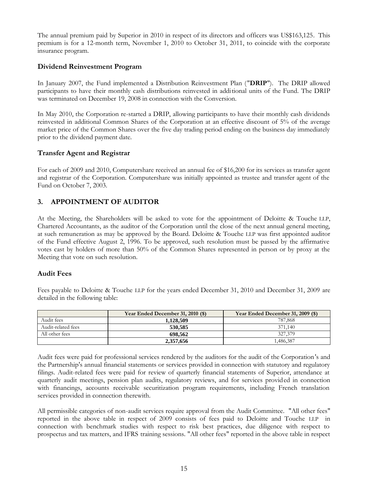The annual premium paid by Superior in 2010 in respect of its directors and officers was US\$163,125. This premium is for a 12-month term, November 1, 2010 to October 31, 2011, to coincide with the corporate insurance program.

## **Dividend Reinvestment Program**

In January 2007, the Fund implemented a Distribution Reinvestment Plan ("**DRIP**"). The DRIP allowed participants to have their monthly cash distributions reinvested in additional units of the Fund. The DRIP was terminated on December 19, 2008 in connection with the Conversion.

In May 2010, the Corporation re-started a DRIP, allowing participants to have their monthly cash dividends reinvested in additional Common Shares of the Corporation at an effective discount of 5% of the average market price of the Common Shares over the five day trading period ending on the business day immediately prior to the dividend payment date.

## **Transfer Agent and Registrar**

For each of 2009 and 2010, Computershare received an annual fee of \$16,200 for its services as transfer agent and registrar of the Corporation. Computershare was initially appointed as trustee and transfer agent of the Fund on October 7, 2003.

## **3. APPOINTMENT OF AUDITOR**

At the Meeting, the Shareholders will be asked to vote for the appointment of Deloitte & Touche LLP, Chartered Accountants, as the auditor of the Corporation until the close of the next annual general meeting, at such remuneration as may be approved by the Board. Deloitte & Touche LLP was first appointed auditor of the Fund effective August 2, 1996. To be approved, such resolution must be passed by the affirmative votes cast by holders of more than 50% of the Common Shares represented in person or by proxy at the Meeting that vote on such resolution.

## **Audit Fees**

Fees payable to Deloitte & Touche LLP for the years ended December 31, 2010 and December 31, 2009 are detailed in the following table:

|                    | Year Ended December 31, 2010 (\$) | Year Ended December 31, 2009 (\$) |
|--------------------|-----------------------------------|-----------------------------------|
| Audit fees         | 1.128.509                         | 787,868                           |
| Audit-related fees | 530,585                           | 371.140                           |
| All other fees     | 698.562                           | 327,379                           |
|                    | 2.357.656                         | .486,387                          |

Audit fees were paid for professional services rendered by the auditors for the audit of the Corporation's and the Partnership's annual financial statements or services provided in connection with statutory and regulatory filings. Audit-related fees were paid for review of quarterly financial statements of Superior, attendance at quarterly audit meetings, pension plan audits, regulatory reviews, and for services provided in connection with financings, accounts receivable securitization program requirements, including French translation services provided in connection therewith.

All permissible categories of non-audit services require approval from the Audit Committee. "All other fees" reported in the above table in respect of 2009 consists of fees paid to Deloitte and Touche LLP in connection with benchmark studies with respect to risk best practices, due diligence with respect to prospectus and tax matters, and IFRS training sessions. "All other fees" reported in the above table in respect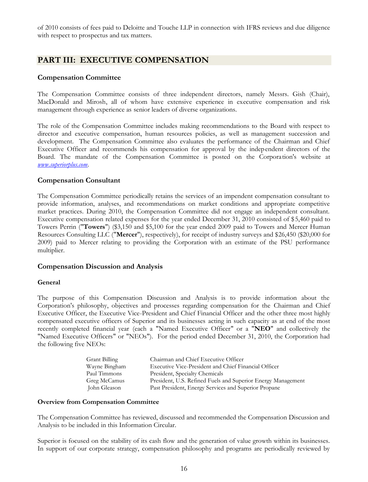of 2010 consists of fees paid to Deloitte and Touche LLP in connection with IFRS reviews and due diligence with respect to prospectus and tax matters.

## **PART III: EXECUTIVE COMPENSATION**

### **Compensation Committee**

The Compensation Committee consists of three independent directors, namely Messrs. Gish (Chair), MacDonald and Mirosh, all of whom have extensive experience in executive compensation and risk management through experience as senior leaders of diverse organizations.

The role of the Compensation Committee includes making recommendations to the Board with respect to director and executive compensation, human resources policies, as well as management succession and development. The Compensation Committee also evaluates the performance of the Chairman and Chief Executive Officer and recommends his compensation for approval by the independent directors of the Board. The mandate of the Compensation Committee is posted on the Corporation's website at *www.superiorplus.com*[.](www.superiorplus.com)

#### **Compensation Consultant**

The Compensation Committee periodically retains the services of an impendent compensation consultant to provide information, analyses, and recommendations on market conditions and appropriate competitive market practices. During 2010, the Compensation Committee did not engage an independent consultant. Executive compensation related expenses for the year ended December 31, 2010 consisted of \$5,460 paid to Towers Perrin ("**Towers**") (\$3,150 and \$5,100 for the year ended 2009 paid to Towers and Mercer Human Resources Consulting LLC ("**Mercer**"), respectively), for receipt of industry surveys and \$26,450 (\$20,000 for 2009) paid to Mercer relating to providing the Corporation with an estimate of the PSU performance multiplier.

#### **Compensation Discussion and Analysis**

#### *General*

The purpose of this Compensation Discussion and Analysis is to provide information about the Corporation's philosophy, objectives and processes regarding compensation for the Chairman and Chief Executive Officer, the Executive Vice-President and Chief Financial Officer and the other three most highly compensated executive officers of Superior and its businesses acting in such capacity as at end of the most recently completed financial year (each a "Named Executive Officer" or a "**NEO**" and collectively the "Named Executive Officers" or "NEOs"). For the period ended December 31, 2010, the Corporation had the following five NEOs:

| Grant Billing | Chairman and Chief Executive Officer                         |
|---------------|--------------------------------------------------------------|
| Wayne Bingham | Executive Vice-President and Chief Financial Officer         |
| Paul Timmons  | President, Specialty Chemicals                               |
| Greg McCamus  | President, U.S. Refined Fuels and Superior Energy Management |
| John Gleason  | Past President, Energy Services and Superior Propane         |

#### *Overview from Compensation Committee*

The Compensation Committee has reviewed, discussed and recommended the Compensation Discussion and Analysis to be included in this Information Circular.

Superior is focused on the stability of its cash flow and the generation of value growth within its businesses. In support of our corporate strategy, compensation philosophy and programs are periodically reviewed by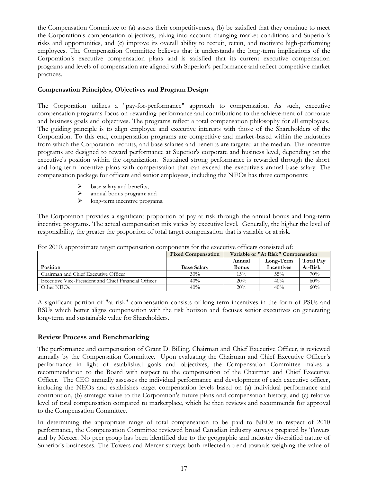the Compensation Committee to (a) assess their competitiveness, (b) be satisfied that they continue to meet the Corporation's compensation objectives, taking into account changing market conditions and Superior's risks and opportunities, and (c) improve its overall ability to recruit, retain, and motivate high-performing employees. The Compensation Committee believes that it understands the long-term implications of the Corporation's executive compensation plans and is satisfied that its current executive compensation programs and levels of compensation are aligned with Superior's performance and reflect competitive market practices.

#### *Compensation Principles, Objectives and Program Design*

The Corporation utilizes a "pay-for-performance" approach to compensation. As such, executive compensation programs focus on rewarding performance and contributions to the achievement of corporate and business goals and objectives. The programs reflect a total compensation philosophy for all employees. The guiding principle is to align employee and executive interests with those of the Shareholders of the Corporation. To this end, compensation programs are competitive and market-based within the industries from which the Corporation recruits, and base salaries and benefits are targeted at the median. The incentive programs are designed to reward performance at Superior's corporate and business level, depending on the executive's position within the organization. Sustained strong performance is rewarded through the short and long-term incentive plans with compensation that can exceed the executive's annual base salary. The compensation package for officers and senior employees, including the NEOs has three components:

- base salary and benefits;
- $\geq$  annual bonus program; and<br> $\geq$  long-term incentive program
- long-term incentive programs.

The Corporation provides a significant proportion of pay at risk through the annual bonus and long-term incentive programs. The actual compensation mix varies by executive level. Generally, the higher the level of responsibility, the greater the proportion of total target compensation that is variable or at risk.

|                                                      | <b>Fixed Compensation</b> | Variable or "At Risk" Compensation |                   |           |  |
|------------------------------------------------------|---------------------------|------------------------------------|-------------------|-----------|--|
|                                                      |                           | Annual                             | Long-Term         | Total Pay |  |
| <b>Position</b>                                      | <b>Base Salary</b>        | <b>Bonus</b>                       | <b>Incentives</b> | At-Risk   |  |
| Chairman and Chief Executive Officer                 | 30%                       | 15%                                | $55\%$            | 70%       |  |
| Executive Vice-President and Chief Financial Officer | 40%                       | 20%                                | 40%               | 60%       |  |
| Other NEOs                                           | 40%                       | 20%                                | 40%               | 60%       |  |

For 2010, approximate target compensation components for the executive officers consisted of:

A significant portion of "at risk" compensation consists of long-term incentives in the form of PSUs and RSUs which better aligns compensation with the risk horizon and focuses senior executives on generating long-term and sustainable value for Shareholders.

#### *Review Process and Benchmarking*

The performance and compensation of Grant D. Billing, Chairman and Chief Executive Officer, is reviewed annually by the Compensation Committee. Upon evaluating the Chairman and Chief Executive Officer's performance in light of established goals and objectives, the Compensation Committee makes a recommendation to the Board with respect to the compensation of the Chairman and Chief Executive Officer. The CEO annually assesses the individual performance and development of each executive officer, including the NEOs and establishes target compensation levels based on (a) individual performance and contribution, (b) strategic value to the Corporation's future plans and compensation history; and (c) relative level of total compensation compared to marketplace, which he then reviews and recommends for approval to the Compensation Committee.

In determining the appropriate range of total compensation to be paid to NEOs in respect of 2010 performance, the Compensation Committee reviewed broad Canadian industry surveys prepared by Towers and by Mercer. No peer group has been identified due to the geographic and industry diversified nature of Superior's businesses. The Towers and Mercer surveys both reflected a trend towards weighing the value of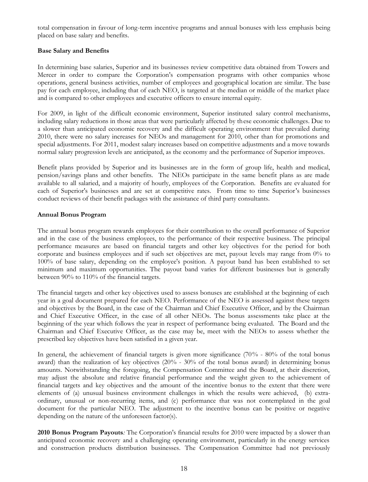total compensation in favour of long-term incentive programs and annual bonuses with less emphasis being placed on base salary and benefits.

#### *Base Salary and Benefits*

In determining base salaries, Superior and its businesses review competitive data obtained from Towers and Mercer in order to compare the Corporation's compensation programs with other companies whose operations, general business activities, number of employees and geographical location are similar. The base pay for each employee, including that of each NEO, is targeted at the median or middle of the market place and is compared to other employees and executive officers to ensure internal equity.

For 2009, in light of the difficult economic environment, Superior instituted salary control mechanisms, including salary reductions in those areas that were particularly affected by these economic challenges. Due to a slower than anticipated economic recovery and the difficult operating environment that prevailed during 2010, there were no salary increases for NEOs and management for 2010, other than for promotions and special adjustments. For 2011, modest salary increases based on competitive adjustments and a move towards normal salary progression levels are anticipated, as the economy and the performance of Superior improves.

Benefit plans provided by Superior and its businesses are in the form of group life, health and medical, pension/savings plans and other benefits. The NEOs participate in the same benefit plans as are made available to all salaried, and a majority of hourly, employees of the Corporation. Benefits are evaluated for each of Superior's businesses and are set at competitive rates. From time to time Superior's businesses conduct reviews of their benefit packages with the assistance of third party consultants.

#### *Annual Bonus Program*

The annual bonus program rewards employees for their contribution to the overall performance of Superior and in the case of the business employees, to the performance of their respective business. The principal performance measures are based on financial targets and other key objectives for the period for both corporate and business employees and if such set objectives are met, payout levels may range from 0% to 100% of base salary, depending on the employee's position. A payout band has been established to set minimum and maximum opportunities. The payout band varies for different businesses but is generally between 90% to 110% of the financial targets.

The financial targets and other key objectives used to assess bonuses are established at the beginning of each year in a goal document prepared for each NEO. Performance of the NEO is assessed against these targets and objectives by the Board, in the case of the Chairman and Chief Executive Officer, and by the Chairman and Chief Executive Officer, in the case of all other NEOs. The bonus assessments take place at the beginning of the year which follows the year in respect of performance being evaluated. The Board and the Chairman and Chief Executive Officer, as the case may be, meet with the NEOs to assess whether the prescribed key objectives have been satisfied in a given year.

In general, the achievement of financial targets is given more significance (70% - 80% of the total bonus award) than the realization of key objectives (20% - 30% of the total bonus award) in determining bonus amounts. Notwithstanding the foregoing, the Compensation Committee and the Board, at their discretion, may adjust the absolute and relative financial performance and the weight given to the achievement of financial targets and key objectives and the amount of the incentive bonus to the extent that there were elements of (a) unusual business environment challenges in which the results were achieved, (b) extraordinary, unusual or non-recurring items, and (c) performance that was not contemplated in the goal document for the particular NEO. The adjustment to the incentive bonus can be positive or negative depending on the nature of the unforeseen factor(s).

*2010 Bonus Program Payouts:* The Corporation's financial results for 2010 were impacted by a slower than anticipated economic recovery and a challenging operating environment, particularly in the energy services and construction products distribution businesses. The Compensation Committee had not previously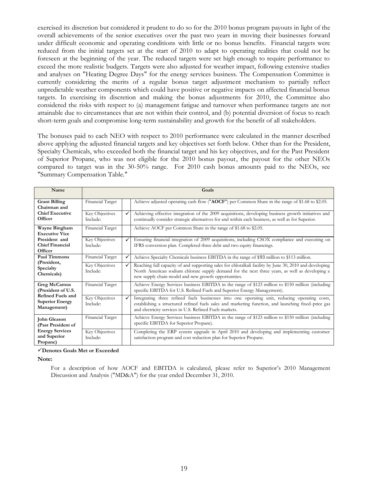exercised its discretion but considered it prudent to do so for the 2010 bonus program payouts in light of the overall achievements of the senior executives over the past two years in moving their businesses forward under difficult economic and operating conditions with little or no bonus benefits. Financial targets were reduced from the initial targets set at the start of 2010 to adapt to operating realities that could not be foreseen at the beginning of the year. The reduced targets were set high enough to require performance to exceed the more realistic budgets. Targets were also adjusted for weather impact, following extensive studies and analyses on "Heating Degree Days" for the energy services business. The Compensation Committee is currently considering the merits of a regular bonus target adjustment mechanism to partially reflect unpredictable weather components which could have positive or negative impacts on affected financial bonus targets. In exercising its discretion and making the bonus adjustments for 2010, the Committee also considered the risks with respect to (a) management fatigue and turnover when performance targets are not attainable due to circumstances that are not within their control, and (b) potential diversion of focus to reach short-term goals and compromise long-term sustainability and growth for the benefit of all stakeholders.

The bonuses paid to each NEO with respect to 2010 performance were calculated in the manner described above applying the adjusted financial targets and key objectives set forth below. Other than for the President, Specialty Chemicals, who exceeded both the financial target and his key objectives, and for the Past President of Superior Propane, who was not eligible for the 2010 bonus payout, the payout for the other NEOs compared to target was in the 30-50% range. For 2010 cash bonus amounts paid to the NEOs, see "Summary Compensation Table."

| Name                                                              |                            |   | Goals                                                                                                                                                                                                                                                             |
|-------------------------------------------------------------------|----------------------------|---|-------------------------------------------------------------------------------------------------------------------------------------------------------------------------------------------------------------------------------------------------------------------|
| <b>Grant Billing</b><br>Chairman and                              | Financial Target           |   | Achieve adjusted operating cash flow ("AOCF") per Common Share in the range of \$1.68 to \$2.05.                                                                                                                                                                  |
| <b>Chief Executive</b><br>Officer                                 | Key Objectives<br>Include: | ✓ | Achieving effective integration of the 2009 acquisitions, developing business growth initiatives and<br>continually consider strategic alternatives for and within each business, as well as for Superior.                                                        |
| Wayne Bingham<br><b>Executive Vice</b>                            | Financial Target           |   | Achieve AOCF per Common Share in the range of \$1.68 to \$2.05.                                                                                                                                                                                                   |
| President and<br><b>Chief Financial</b><br>Officer                | Key Objectives<br>Include: |   | Ensuring financial integration of 2009 acquisitions, including CSOX compliance and executing on<br>IFRS conversion plan. Completed three debt and two equity financings.                                                                                          |
| Paul Timmons                                                      | Financial Target           |   | Achieve Specialty Chemicals business EBITDA in the range of \$93 million to \$113 million.                                                                                                                                                                        |
| (President,<br>Specialty<br>Chemicals)                            | Key Objectives<br>Include: |   | Reaching full capacity of and supporting sales for chloralkali facility by June 30, 2010 and developing<br>North American sodium chlorate supply demand for the next three years, as well as developing a<br>new supply chain model and new growth opportunities. |
| Greg McCamus<br>(President of U.S.                                | Financial Target           |   | Achieve Energy Services business EBITDA in the range of \$123 million to \$150 million (including<br>specific EBITDA for U.S. Refined Fuels and Superior Energy Management).                                                                                      |
| <b>Refined Fuels and</b><br><b>Superior Energy</b><br>Management) | Key Objectives<br>Include: | ✓ | Integrating three refined fuels businesses into one operating unit, reducing operating costs,<br>establishing a structured refined fuels sales and marketing function, and launching fixed-price gas<br>and electricity services in U.S. Refined Fuels markets.   |
| John Gleason<br>(Past President of                                | Financial Target           |   | Achieve Energy Services business EBITDA in the range of \$123 million to \$150 million (including<br>specific EBITDA for Superior Propane).                                                                                                                       |
| <b>Energy Services</b><br>and Superior<br>Propane)                | Key Objectives<br>Include: |   | Completing the ERP system upgrade in April 2010 and developing and implementing customer<br>satisfaction program and cost reduction plan for Superior Propane.                                                                                                    |

#### **Denotes Goals Met or Exceeded**

**Note:**

For a description of how AOCF and EBITDA is calculated, please refer to Superior's 2010 Management Discussion and Analysis ("MD&A") for the year ended December 31, 2010.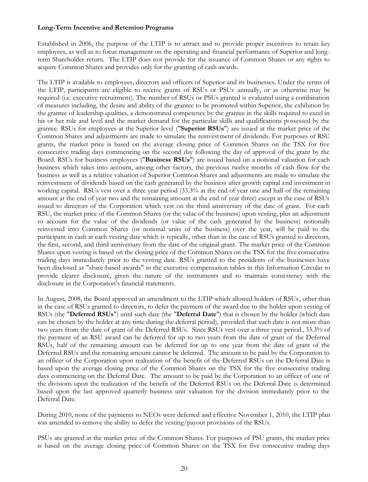#### *Long-Term Incentive and Retention Programs*

Established in 2006, the purpose of the LTIP is to attract and to provide proper incentives to retain key employees, as well as to focus management on the operating and financial performance of Superior and long term Shareholder return. The LTIP does not provide for the issuance of Common Shares or any rights to acquire Common Shares and provides only for the granting of cash awards.

The LTIP is available to employees, directors and officers of Superior and its businesses. Under the terms of the LTIP, participants are eligible to receive grants of RSUs or PSUs annually, or as otherwise may be required (i.e. executive recruitment). The number of RSUs or PSUs granted is evaluated using a combination of measures including, the desire and ability of the grantee to be promoted within Superior, the exhibition by the grantee of leadership qualities, a demonstrated competence by the grantee in the skills required to excel in his or her role and level and the market demand for the particular skills and qualifications possessed by the grantee. RSUs for employees at the Superior level ("**Superior RSUs**") are issued at the market price of the Common Shares and adjustments are made to simulate the reinvestment of dividends. For purposes of RSU grants, the market price is based on the average closing price of Common Shares on the TSX for five consecutive trading days commencing on the second day following the day of approval of the grant by the Board. RSUs for business employees ("**Business RSUs**") are issued based on a notional valuation for each business which takes into account, among other factors, the previous twelve months of cash flow for the business as well as a relative valuation of Superior Common Shares and adjustments are made to simulate the reinvestment of dividends based on the cash generated by the business after growth capital and investment in working capital. RSUs vest over a three year period (33.3% at the end of year one and half of the remaining amount at the end of year two and the remaining amount at the end of year three) except in the case of RSUs issued to directors of the Corporation which vest on the third anniversary of the date of grant. For each RSU, the market price of the Common Shares (or the value of the business) upon vesting, plus an adjustment to account for the value of the dividends (or value of the cash generated by the business) notionally reinvested into Common Shares (or notional units of the business) over the year, will be paid to the participant in cash at each vesting date which is typically, other than in the case of RSUs granted to directors, the first, second, and third anniversary from the date of the original grant. The market price of the Common Shares upon vesting is based on the closing price of the Common Shares on the TSX for the five consecutive trading days immediately prior to the vesting date. RSUs granted to the presidents of the businesses have been disclosed as "share-based awards" in the executive compensation tables in this Information Circular to provide clearer disclosure, given the nature of the instruments and to maintain consistency with the disclosure in the Corporation's financial statements.

In August, 2008, the Board approved an amendment to the LTIP which allowed holders of RSUs, other than in the case of RSUs granted to directors, to defer the payment of the award due to the holder upon vesting of RSUs (the "**Deferred RSUs**") until such date (the "**Deferral Date**") that is chosen by the holder (which date can be chosen by the holder at any time during the deferral period), provided that such date is not more than two years from the date of grant of the Deferred RSUs. Since RSUs vest over a three year period, 33.3% of the payment of an RSU award can be deferred for up to two years from the date of grant of the Deferred RSUs, half of the remaining amount can be deferred for up to one year from the date of grant of the Deferred RSUs and the remaining amount cannot be deferred. The amount to be paid by the Corporation to an officer of the Corporation upon realization of the benefit of the Deferred RSUs on the De ferral Date is based upon the average closing price of the Common Shares on the TSX for the five consecutive trading days commencing on the Deferral Date. The amount to be paid by the Corporation to an officer of one of the divisions upon the realization of the benefit of the Deferred RSUs on the Deferral Date is determined based upon the last approved quarterly business unit valuation for the division immediately prior to the Deferral Date.

During 2010, none of the payments to NEOs were deferred and effective November 1, 2010, the LTIP plan was amended to remove the ability to defer the vesting/payout provisions of the RSUs.

PSUs are granted at the market price of the Common Shares. For purposes of PSU grants, the market price is based on the average closing price of Common Shares on the TSX for five consecutive trading days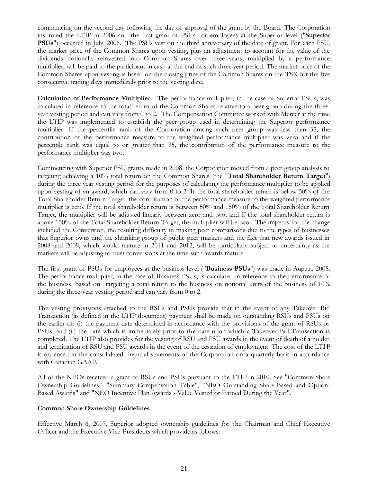commencing on the second day following the day of approval of the grant by the Board. The Corporation instituted the LTIP in 2006 and the first grant of PSUs for employees at the Superior level ("**Superior PSUs**") occurred in July, 2006. The PSUs vest on the third anniversary of the date of grant. For each PSU, the market price of the Common Shares upon vesting, plus an adjustment to account for the value of the dividends notionally reinvested into Common Shares over three years, multiplied by a performance multiplier, will be paid to the participant in cash at the end of such three year period. The market price of the Common Shares upon vesting is based on the closing price of the Common Shares on the TSX for the five consecutive trading days immediately prior to the vesting date.

*Calculation of Performance Multiplier:* The performance multiplier, in the case of Superior PSUs, was calculated in reference to the total return of the Common Shares relative to a peer group during the threeyear vesting period and can vary from 0 to 2. The Compensation Committee worked with Mercer at the time the LTIP was implemented to establish the peer group used in determining the Superior performance multiplier. If the percentile rank of the Corporation among such peer group was less than 35, the contribution of the performance measure to the weighted performance multiplier was zero and if the percentile rank was equal to or greater than 75, the contribution of the performance measure to the performance multiplier was two.

Commencing with Superior PSU grants made in 2008, the Corporation moved from a peer group analysis to targeting achieving a 10% total return on the Common Shares (the "**Total Shareholder Return Target**") during the three year vesting period for the purposes of calculating the performance multiplier to be applied upon vesting of an award, which can vary from 0 to 2. If the total shareholder return is below 50% of the Total Shareholder Return Target, the contribution of the performance measure to the weighted performance multiplier is zero. If the total shareholder return is between 50% and 150% of the Total Shareholder Return Target, the multiplier will be adjusted linearly between zero and two, and if the total shareholder return is above 150% of the Total Shareholder Return Target, the multiplier will be two. The impetus for the change included the Conversion, the resulting difficulty in making peer comparisons due to the types of businesses that Superior owns and the shrinking group of public peer markets and the fact that new awards issued in 2008 and 2009, which would mature in 2011 and 2012, will be particularly subject to uncertainty as the markets will be adjusting to trust conversions at the time such awards mature.

The first grant of PSUs for employees at the business level ("**Business PSUs**") was made in August, 2008. The performance multiplier, in the case of Business PSUs, is calculated in reference to the performance of the business, based on targeting a total return to the business on notional units of the business of 10% during the three-year vesting period and can vary from 0 to 2.

The vesting provisions attached to the RSUs and PSUs provide that in the event of any Takeover Bid Transaction (as defined in the LTIP document) payment shall be made on outstanding RSUs and PSUs on the earlier of: (i) the payment date determined in accordance with the provisions of the grant of RSUs or PSUs, and (ii) the date which is immediately prior to the date upon which a Takeover Bid Transaction is completed. The LTIP also provides for the vesting of RSU and PSU awards in the event of death of a holder and termination of RSU and PSU awards in the event of the cessation of employment. The cost of the LTIP is expensed in the consolidated financial statements of the Corporation on a quarterly basis in accordance with Canadian GAAP.

All of the NEOs received a grant of RSUs and PSUs pursuant to the LTIP in 2010. See "Common Share Ownership Guidelines", "Summary Compensation Table", "NEO Outstanding Share-Based and Option-Based Awards" and "NEO Incentive Plan Awards - Value Vested or Earned During the Year".

#### *Common Share Ownership Guidelines*

Effective March 6, 2007, Superior adopted ownership guidelines for the Chairman and Chief Executive Officer and the Executive Vice-Presidents which provide as follows: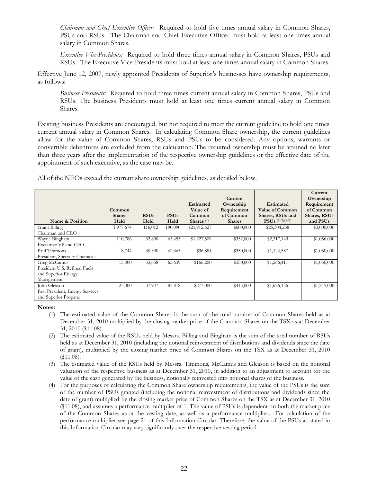*Chairman and Chief Executive Officer:* Required to hold five times annual salary in Common Shares, PSUs and RSUs. The Chairman and Chief Executive Officer must hold at least one times annual salary in Common Shares.

*Executive Vice-Presidents:* Required to hold three times annual salary in Common Shares, PSUs and RSUs. The Executive Vice-Presidents must hold at least one times annual salary in Common Shares.

Effective June 12, 2007, newly appointed Presidents of Superior's businesses have ownership requirements, as follows:

*Business Presidents:* Required to hold three times current annual salary in Common Shares, PSUs and RSUs. The business Presidents must hold at least one times current annual salary in Common Shares.

Existing business Presidents are encouraged, but not required to meet the current guideline to hold one times current annual salary in Common Shares. In calculating Common Share ownership, the current guidelines allow for the value of Common Shares, RSUs and PSUs to be considered. Any options, warrants or convertible debentures are excluded from the calculation. The required ownership must be attained no later than three years after the implementation of the respective ownership guidelines or the effective date of the appointment of such executive, as the case may be.

All of the NEOs exceed the current share ownership guidelines, as detailed below.

| Name & Position                                                                   | Common<br><b>Shares</b><br>Held | <b>RSUs</b><br>Held | <b>PSUs</b><br>Held | <b>Estimated</b><br>Value of<br>Common<br>Shares $(1)$ | Current<br>Ownership<br>Requirement<br>of Common<br><b>Shares</b> | Estimated<br><b>Value of Common</b><br>Shares, RSUs and<br>$PSUs$ (1)(2)(3)(4) | Current<br>Ownership<br>Requirement<br>of Common<br>Shares, RSUs<br>and PSUs |
|-----------------------------------------------------------------------------------|---------------------------------|---------------------|---------------------|--------------------------------------------------------|-------------------------------------------------------------------|--------------------------------------------------------------------------------|------------------------------------------------------------------------------|
| Grant Billing<br>Chairman and CEO                                                 | 1,977,674                       | 116,012             | 190,090             | \$21,912,627                                           | \$600,000                                                         | \$25,304,238                                                                   | \$3,000,000                                                                  |
| Wayne Bingham<br>Executive VP and CFO                                             | 110,786                         | 32,890              | 65,453              | \$1,227,509                                            | \$352,000                                                         | \$2,317,149                                                                    | \$1,056,000                                                                  |
| Paul Timmons<br>President, Specialty Chemicals                                    | 8,744                           | 30,390              | 62,363              | \$96,884                                               | \$350,000                                                         | \$1,124,587                                                                    | \$1,050,000                                                                  |
| Greg McCamus<br>President U.S. Refined Fuels<br>and Superior Energy<br>Management | 15,000                          | 33,658              | 65,639              | \$166,200                                              | \$350,000                                                         | \$1,266,411                                                                    | \$1,050,000                                                                  |
| John Gleason<br>Past President, Energy Services<br>and Superior Propane           | 25,000                          | 37,947              | 83,818              | \$277,000                                              | \$415,000                                                         | \$1,626,156                                                                    | \$1,245,000                                                                  |

#### **Notes:**

- (1) The estimated value of the Common Shares is the sum of the total number of Common Shares held as at December 31, 2010 multiplied by the closing market price of the Common Shares on the TSX as at December 31, 2010 (\$11.08).
- (2) The estimated value of the RSUs held by Messrs. Billing and Bingham is the sum of the total number of RSUs held as at December 31, 2010 (including the notional reinvestment of distributions and dividends since the date of grant), multiplied by the closing market price of Common Shares on the TSX as at December 31, 2010 (\$11.08).
- (3) The estimated value of the RSUs held by Messrs. Timmons, McCamus and Gleason is based on the notional valuation of the respective business as at December 31, 2010, in addition to an adjustment to account for the value of the cash generated by the business, notionally reinvested into notional shares of the business.
- (4) For the purposes of calculating the Common Share ownership requirements, the value of the PSUs is the sum of the number of PSUs granted (including the notional reinvestment of distributions and dividends since the date of grant) multiplied by the closing market price of Common Shares on the TSX as at December 31, 2010 (\$11.08), and assumes a performance multiplier of 1. The value of PSUs is dependent on both the market price of the Common Shares as at the vesting date, as well as a performance multiplier. For calculation of the performance multiplier see page 21 of this Information Circular. Therefore, the value of the PSUs as stated in this Information Circular may vary significantly over the respective vesting period.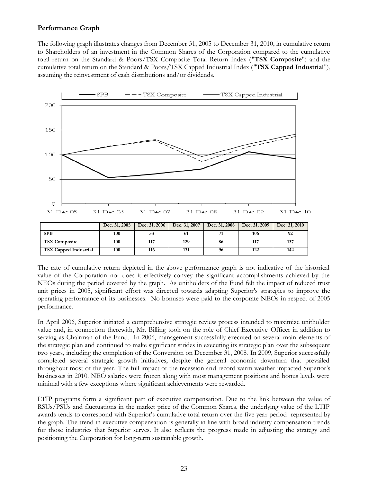## **Performance Graph**

The following graph illustrates changes from December 31, 2005 to December 31, 2010, in cumulative return to Shareholders of an investment in the Common Shares of the Corporation compared to the cumulative total return on the Standard & Poors/TSX Composite Total Return Index ("**TSX Composite**") and the cumulative total return on the Standard & Poors/TSX Capped Industrial Index ("**TSX Capped Industrial**"), assuming the reinvestment of cash distributions and/or dividends.



|                              | Dec. 31, 2005 | Dec. 31, 2006 | Dec. 31, 2007 | Dec. 31, 2008 | Dec. 31, 2009 | Dec. 31, 2010 |
|------------------------------|---------------|---------------|---------------|---------------|---------------|---------------|
| <b>SPB</b>                   | 100           |               | 61            | 71            | 106           | 92            |
| <b>TSX Composite</b>         | 100           | 117           | 129           | 86            | 117           | 137           |
| <b>TSX Capped Industrial</b> | 100           | 116           | 131           | 96            | 122           | 142           |

The rate of cumulative return depicted in the above performance graph is not indicative of the historical value of the Corporation nor does it effectively convey the significant accomplishments achieved by the NEOs during the period covered by the graph. As unitholders of the Fund felt the impact of reduced trust unit prices in 2005, significant effort was directed towards adapting Superior's strategies to improve the operating performance of its businesses. No bonuses were paid to the corporate NEOs in respect of 2005 performance.

In April 2006, Superior initiated a comprehensive strategic review process intended to maximize unitholder value and, in connection therewith, Mr. Billing took on the role of Chief Executive Officer in addition to serving as Chairman of the Fund. In 2006, management successfully executed on several main elements of the strategic plan and continued to make significant strides in executing its strategic plan over the subsequent two years, including the completion of the Conversion on December 31, 2008. In 2009, Superior successfully completed several strategic growth initiatives, despite the general economic downturn that prevailed throughout most of the year. The full impact of the recession and record warm weather impacted Superior's businesses in 2010. NEO salaries were frozen along with most management positions and bonus levels were minimal with a few exceptions where significant achievements were rewarded.

LTIP programs form a significant part of executive compensation. Due to the link between the value of RSUs/PSUs and fluctuations in the market price of the Common Shares, the underlying value of the LTIP awards tends to correspond with Superior's cumulative total return over the five year period represented by the graph. The trend in executive compensation is generally in line with broad industry compensation trends for those industries that Superior serves. It also reflects the progress made in adjusting the strategy and positioning the Corporation for long-term sustainable growth.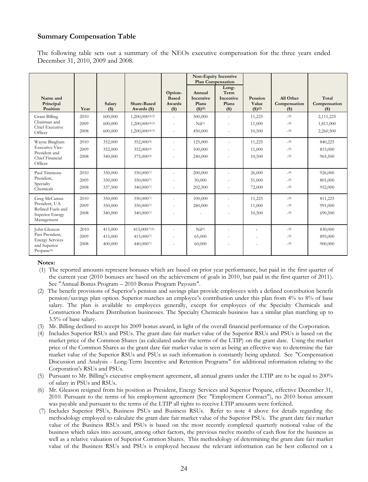### **Summary Compensation Table**

The following table sets out a summary of the NEOs executive compensation for the three years ended December 31, 2010, 2009 and 2008.

|                                                                                                     |                      |                               |                                                       |                                            | <b>Plan Compensation</b>                                     | <b>Non-Equity Incentive</b>                  |                                   |                                     |                                     |
|-----------------------------------------------------------------------------------------------------|----------------------|-------------------------------|-------------------------------------------------------|--------------------------------------------|--------------------------------------------------------------|----------------------------------------------|-----------------------------------|-------------------------------------|-------------------------------------|
| Name and<br>Principal<br>Position                                                                   | Year                 | Salary<br>$($ \$)             | <b>Share-Based</b><br>Awards (\$)                     | Option-<br><b>Based</b><br>Awards<br>$($)$ | Annual<br>Incentive<br>Plans<br>$($ \$ $)($ <sup>1</sup> $)$ | Long-<br>Term<br>Incentive<br>Plans<br>$($)$ | Pension<br>Value<br>$($ \$ $)(2)$ | All Other<br>Compensation<br>$($)$  | Total<br>Compensation<br>$($)$      |
| <b>Grant Billing</b><br>Chairman and<br>Chief Executive<br>Officer                                  | 2010<br>2009<br>2008 | 600,000<br>600,000<br>600,000 | 1,200,000(4)(5)<br>1,200,000(4)(5)<br>1,200,000(4)(5) | ×,                                         | 300,000<br>$Nil^{(3)}$<br>450,000                            |                                              | 11,225<br>11,000<br>10,500        | $^{-(8)}$<br>$^{-(8)}$<br>$^{-(8)}$ | 2,111,225<br>1,811,000<br>2,260,500 |
| Wayne Bingham<br><b>Executive Vice-</b><br>President and<br>Chief Financial<br>Officer              | 2010<br>2009<br>2008 | 352,000<br>352,000<br>340,000 | 352,000(4)<br>352,000(4)<br>375,000(4)                |                                            | 125,000<br>100,000<br>240,000                                |                                              | 11,225<br>11,000<br>10,500        | $^{-(8)}$<br>$^{-(8)}$<br>$^{-(8)}$ | 840,225<br>815,000<br>965,500       |
| Paul Timmons<br>President,<br>Specialty<br>Chemicals                                                | 2010<br>2009<br>2008 | 350,000<br>350,000<br>337,500 | 350,0007<br>350,0007<br>340,0007                      |                                            | 200,000<br>50,000<br>202,500                                 |                                              | 26,000<br>51,000<br>72,000        | $^{-(8)}$<br>$^{-(8)}$<br>$^{-(8)}$ | 926,000<br>801,000<br>952,000       |
| Greg McCamus<br>President, U.S.<br>Refined Fuels and<br>Superior Energy<br>Management               | 2010<br>2009<br>2008 | 350,000<br>350,000<br>340,000 | 350,000(7)<br>350,0007<br>340,0007                    |                                            | 100,000<br>280,000                                           |                                              | 11,225<br>11,000<br>10,500        | (8)<br>$^{-(8)}$<br>$^{-(8)}$       | 811,225<br>991,000<br>690,500       |
| John Gleason<br>Past President,<br><b>Energy Services</b><br>and Superior<br>Propane <sup>(6)</sup> | 2010<br>2009<br>2008 | 415,000<br>415,000<br>400,000 | 415,000 (7) (6)<br>415,0007<br>440,0007               |                                            | Nil <sup>(6)</sup><br>65,000<br>60,000                       |                                              | $\overline{a}$                    | $^{-(8)}$<br>$^{-(8)}$<br>$^{-(8)}$ | 830,000<br>895,000<br>900,000       |

#### **Notes:**

- (1) The reported amounts represent bonuses which are based on prior year performance, but paid in the first quarter of the current year (2010 bonuses are based on the achievement of goals in 2010, but paid in the first quarter of 2011). See "Annual Bonus Program – 2010 Bonus Program Payouts".
- (2) The benefit provisions of Superior's pension and savings plan provide employees with a defined contribution benefit pension/savings plan option. Superior matches an employee's contribution under this plan from 4% to 8% of base salary. The plan is available to employees generally, except for employees of the Specialty Chemicals and Construction Products Distribution businesses. The Specialty Chemicals business has a similar plan matching up to 3.5% of base salary.
- (3) Mr. Billing declined to accept his 2009 bonus award, in light of the overall financial performance of the Corporation.
- (4) Includes Superior RSUs and PSUs. The grant date fair market value of the Superior RSUs and PSUs is based on the market price of the Common Shares (as calculated under the terms of the LTIP) on the grant date. Using the market price of the Common Shares as the grant date fair market value is seen as being an effective way to determine the fair market value of the Superior RSUs and PSUs as such information is constantly being updated. See "Compensation Discussion and Analysis - Long-Term Incentive and Retention Programs" for additional information relating to the Corporation's RSUs and PSUs.
- (5) Pursuant to Mr. Billing's executive employment agreement, all annual grants under the LTIP are to be equal to 200% of salary in PSUs and RSUs.
- (6) Mr. Gleason resigned from his position as President, Energy Services and Superior Propane, effective December 31, 2010. Pursuant to the terms of his employment agreement (See "Employment Contract"), no 2010 bonus amount was payable and pursuant to the terms of the LTIP all rights to receive LTIP amounts were forfeited.
- (7) Includes Superior PSUs, Business PSUs and Business RSUs. Refer to note 4 above for details regarding the methodology employed to calculate the grant date fair market value of the Superior PSUs. The grant date fair market value of the Business RSUs and PSUs is based on the most recently completed quarterly notional value of the business which takes into account, among other factors, the previous twelve months of cash flow for the business as well as a relative valuation of Superior Common Shares. This methodology of determining the grant date fair market value of the Business RSUs and PSUs is employed because the relevant information can be best collected on a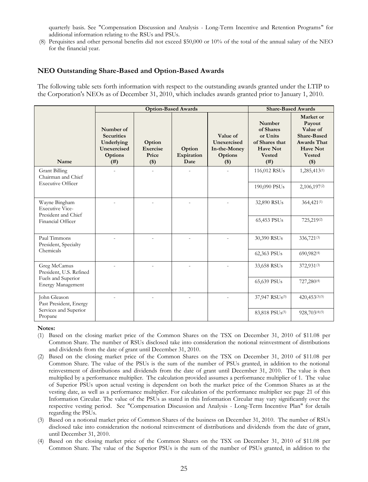quarterly basis. See "Compensation Discussion and Analysis - Long-Term Incentive and Retention Programs" for additional information relating to the RSUs and PSUs.

(8) Perquisites and other personal benefits did not exceed \$50,000 or 10% of the total of the annual salary of the NEO for the financial year.

#### **NEO Outstanding Share-Based and Option-Based Awards**

The following table sets forth information with respect to the outstanding awards granted under the LTIP to the Corporation's NEOs as of December 31, 2010, which includes awards granted prior to January 1, 2010.

|                                                                        |                                                                                | <b>Option-Based Awards</b>            | <b>Share-Based Awards</b>    |                                                                    |                                                                                               |                                                                                                                            |
|------------------------------------------------------------------------|--------------------------------------------------------------------------------|---------------------------------------|------------------------------|--------------------------------------------------------------------|-----------------------------------------------------------------------------------------------|----------------------------------------------------------------------------------------------------------------------------|
| Name                                                                   | Number of<br><b>Securities</b><br>Underlying<br>Unexercised<br>Options<br>(# ) | Option<br>Exercise<br>Price<br>$(\$)$ | Option<br>Expiration<br>Date | Value of<br>Unexercised<br>In-the-Money<br><b>Options</b><br>$($)$ | Number<br>of Shares<br>or Units<br>of Shares that<br><b>Have Not</b><br><b>Vested</b><br>(# ) | Market or<br>Payout<br>Value of<br><b>Share-Based</b><br><b>Awards That</b><br><b>Have Not</b><br><b>Vested</b><br>$($ \$) |
| <b>Grant Billing</b><br>Chairman and Chief<br><b>Executive Officer</b> |                                                                                |                                       |                              |                                                                    | 116,012 RSUs                                                                                  | 1,285,413(1)                                                                                                               |
|                                                                        |                                                                                |                                       |                              |                                                                    | 190,090 PSUs                                                                                  | 2,106,197(2)                                                                                                               |
| Wayne Bingham<br><b>Executive Vice-</b><br>President and Chief         |                                                                                |                                       |                              |                                                                    | 32,890 RSUs                                                                                   | 364,421(1)                                                                                                                 |
| Financial Officer                                                      |                                                                                |                                       |                              |                                                                    | 65,453 PSUs                                                                                   | 725,219(2)                                                                                                                 |
| Paul Timmons<br>President, Specialty                                   |                                                                                |                                       |                              |                                                                    | 30,390 RSUs                                                                                   | 336,721(3)                                                                                                                 |
| Chemicals                                                              |                                                                                |                                       |                              |                                                                    | 62,363 PSUs                                                                                   | 690,982(4)                                                                                                                 |
| Greg McCamus<br>President, U.S. Refined                                |                                                                                |                                       |                              |                                                                    | 33,658 RSUs                                                                                   | 372,931(3)                                                                                                                 |
| Fuels and Superior<br><b>Energy Management</b>                         |                                                                                |                                       |                              |                                                                    | 65,639 PSUs                                                                                   | 727,280(4)                                                                                                                 |
| John Gleason<br>Past President, Energy                                 |                                                                                |                                       |                              |                                                                    | 37,947 RSUs(5)                                                                                | 420,453(3)(5)                                                                                                              |
| Services and Superior<br>Propane                                       |                                                                                |                                       |                              |                                                                    | 83,818 PSU <sub>s</sub> (5)                                                                   | 928,703(4)(5)                                                                                                              |

#### **Notes:**

- (1) Based on the closing market price of the Common Shares on the TSX on December 31, 2010 of \$11.08 per Common Share. The number of RSUs disclosed take into consideration the notional reinvestment of distributions and dividends from the date of grant until December 31, 2010.
- (2) Based on the closing market price of the Common Shares on the TSX on December 31, 2010 of \$11.08 per Common Share. The value of the PSUs is the sum of the number of PSUs granted, in addition to the notional reinvestment of distributions and dividends from the date of grant until December 31, 2010. The value is then multiplied by a performance multiplier. The calculation provided assumes a performance multiplier of 1. The value of Superior PSUs upon actual vesting is dependent on both the market price of the Common Shares as at the vesting date, as well as a performance multiplier. For calculation of the performance multiplier see page 21 of this Information Circular. The value of the PSUs as stated in this Information Circular may vary significantly over the respective vesting period. See "Compensation Discussion and Analysis - Long-Term Incentive Plan" for details regarding the PSUs.
- (3) Based on a notional market price of Common Shares of the business on December 31, 2010. The number of RSUs disclosed take into consideration the notional reinvestment of distributions and dividends from the date of grant, until December 31, 2010.
- (4) Based on the closing market price of the Common Shares on the TSX on December 31, 2010 of \$11.08 per Common Share. The value of the Superior PSUs is the sum of the number of PSUs granted, in addition to the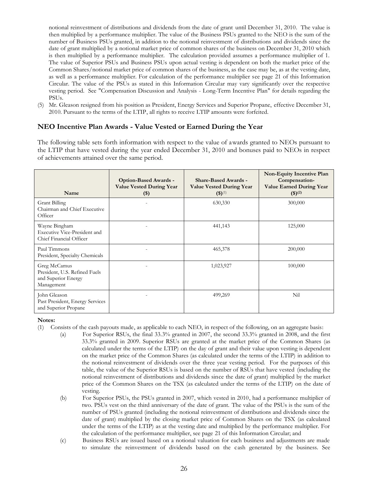notional reinvestment of distributions and dividends from the date of grant until December 31, 2010. The value is then multiplied by a performance multiplier. The value of the Business PSUs granted to the NEO is the sum of the number of Business PSUs granted, in addition to the notional reinvestment of distributions and dividends since the date of grant multiplied by a notional market price of common shares of the business on December 31, 2010 which is then multiplied by a performance multiplier. The calculation provided assumes a performance multiplier of 1. The value of Superior PSUs and Business PSUs upon actual vesting is dependent on both the market price of the Common Shares/notional market price of common shares of the business, as the case may be, as at the vesting date, as well as a performance multiplier. For calculation of the performance multiplier see page 21 of this Information Circular. The value of the PSUs as stated in this Information Circular may vary significantly over the respective vesting period. See "Compensation Discussion and Analysis - Long-Term Incentive Plan" for details regarding the PSUs.

(5) Mr. Gleason resigned from his position as President, Energy Services and Superior Propane, effective December 31, 2010. Pursuant to the terms of the LTIP, all rights to receive LTIP amounts were forfeited.

## **NEO Incentive Plan Awards - Value Vested or Earned During the Year**

The following table sets forth information with respect to the value of awards granted to NEOs pursuant to the LTIP that have vested during the year ended December 31, 2010 and bonuses paid to NEOs in respect of achievements attained over the same period.

| Name                                                                               | <b>Option-Based Awards -</b><br><b>Value Vested During Year</b><br>$(\$)$ | <b>Share-Based Awards -</b><br><b>Value Vested During Year</b><br>$(3)^{(1)}$ | Non-Equity Incentive Plan<br>Compensation-<br><b>Value Earned During Year</b><br>(3)(2) |
|------------------------------------------------------------------------------------|---------------------------------------------------------------------------|-------------------------------------------------------------------------------|-----------------------------------------------------------------------------------------|
| Grant Billing<br>Chairman and Chief Executive<br>Officer                           |                                                                           | 630,330                                                                       | 300,000                                                                                 |
| Wayne Bingham<br>Executive Vice-President and<br>Chief Financial Officer           |                                                                           | 441,143                                                                       | 125,000                                                                                 |
| Paul Timmons<br>President, Specialty Chemicals                                     |                                                                           | 465,378                                                                       | 200,000                                                                                 |
| Greg McCamus<br>President, U.S. Refined Fuels<br>and Superior Energy<br>Management |                                                                           | 1,023,927                                                                     | 100,000                                                                                 |
| John Gleason<br>Past President, Energy Services<br>and Superior Propane            |                                                                           | 499,269                                                                       | Nil                                                                                     |

**Notes:**

(1) Consists of the cash payouts made, as applicable to each NEO, in respect of the following, on an aggregate basis:

- (a) For Superior RSUs, the final 33.3% granted in 2007, the second 33.3% granted in 2008, and the first 33.3% granted in 2009. Superior RSUs are granted at the market price of the Common Shares (as calculated under the terms of the LTIP) on the day of grant and their value upon vesting is dependent on the market price of the Common Shares (as calculated under the terms of the LTIP) in addition to the notional reinvestment of dividends over the three year vesting period. For the purposes of this table, the value of the Superior RSUs is based on the number of RSUs that have vested (including the notional reinvestment of distributions and dividends since the date of grant) multiplied by the market price of the Common Shares on the TSX (as calculated under the terms of the LTIP) on the date of vesting.
- (b) For Superior PSUs, the PSUs granted in 2007, which vested in 2010, had a performance multiplier of two. PSUs vest on the third anniversary of the date of grant. The value of the PSUs is the sum of the number of PSUs granted (including the notional reinvestment of distributions and dividends since the date of grant) multiplied by the closing market price of Common Shares on the TSX (as calculated under the terms of the LTIP) as at the vesting date and multiplied by the performance multiplier. For the calculation of the performance multiplier, see page 21 of this Information Circular; and
- (c) Business RSUs are issued based on a notional valuation for each business and adjustments are made to simulate the reinvestment of dividends based on the cash generated by the business. See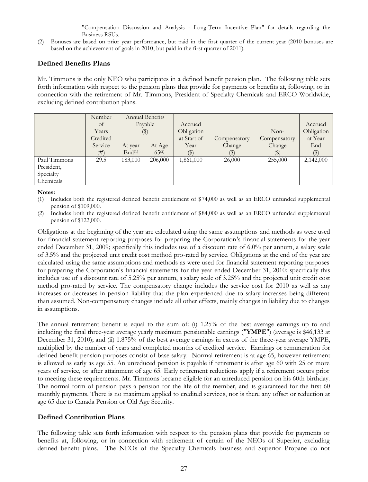"Compensation Discussion and Analysis - Long-Term Incentive Plan" for details regarding the Business RSUs.

(2) Bonuses are based on prior year performance, but paid in the first quarter of the current year (2010 bonuses are based on the achievement of goals in 2010, but paid in the first quarter of 2011).

#### **Defined Benefits Plans**

Mr. Timmons is the only NEO who participates in a defined benefit pension plan. The following table sets forth information with respect to the pension plans that provide for payments or benefits at, following, or in connection with the retirement of Mr. Timmons, President of Specialty Chemicals and ERCO Worldwide, excluding defined contribution plans.

|              | Number   | Annual Benefits<br>Payable |            |                |                           |              |            |
|--------------|----------|----------------------------|------------|----------------|---------------------------|--------------|------------|
|              | of       |                            |            | Accrued        |                           |              | Accrued    |
|              | Years    | $(\blacktriangleright)$    |            | Obligation     |                           | $Non-$       | Obligation |
|              | Credited |                            |            | at Start of    | Compensatory              | Compensatory | at Year    |
|              | Service  | At year                    | At Age     | Year           | Change                    | Change       | End        |
|              | (# )     | End <sup>(1)</sup>         | $65^{(2)}$ | $(\mathbb{S})$ | $\left( \text{\$}\right)$ |              | $(\$)$     |
| Paul Timmons | 29.5     | 183,000                    | 206,000    | 1,861,000      | 26,000                    | 255,000      | 2,142,000  |
| President,   |          |                            |            |                |                           |              |            |
| Specialty    |          |                            |            |                |                           |              |            |
| Chemicals    |          |                            |            |                |                           |              |            |

#### **Notes:**

- (1) Includes both the registered defined benefit entitlement of \$74,000 as well as an ERCO unfunded supplemental pension of \$109,000.
- (2) Includes both the registered defined benefit entitlement of \$84,000 as well as an ERCO unfunded supplemental pension of \$122,000.

Obligations at the beginning of the year are calculated using the same assumptions and methods as were used for financial statement reporting purposes for preparing the Corporation's financial statements for the year ended December 31, 2009; specifically this includes use of a discount rate of 6.0% per annum, a salary scale of 3.5% and the projected unit credit cost method pro-rated by service. Obligations at the end of the year are calculated using the same assumptions and methods as were used for financial statement reporting purposes for preparing the Corporation's financial statements for the year ended December 31, 2010; specifically this includes use of a discount rate of 5.25% per annum, a salary scale of 3.25% and the projected unit credit cost method pro-rated by service. The compensatory change includes the service cost for 2010 as well as any increases or decreases in pension liability that the plan experienced due to salary increases being different than assumed. Non-compensatory changes include all other effects, mainly changes in liability due to changes in assumptions.

The annual retirement benefit is equal to the sum of: (i) 1.25% of the best average earnings up to and including the final three-year average yearly maximum pensionable earnings ("**YMPE**") (average is \$46,133 at December 31, 2010); and (ii) 1.875% of the best average earnings in excess of the three-year average YMPE, multiplied by the number of years and completed months of credited service. Earnings or remuneration for defined benefit pension purposes consist of base salary. Normal retirement is at age 65, however retirement is allowed as early as age 55. An unreduced pension is payable if retirement is after age 60 with 25 or more years of service, or after attainment of age 65. Early retirement reductions apply if a retirement occurs prior to meeting these requirements. Mr. Timmons became eligible for an unreduced pension on his 60th birthday. The normal form of pension pays a pension for the life of the member, and is guaranteed for the first 60 monthly payments. There is no maximum applied to credited services, nor is there any offset or reduction at age 65 due to Canada Pension or Old Age Security.

## **Defined Contribution Plans**

The following table sets forth information with respect to the pension plans that provide for payments or benefits at, following, or in connection with retirement of certain of the NEOs of Superior, excluding defined benefit plans. The NEOs of the Specialty Chemicals business and Superior Propane do not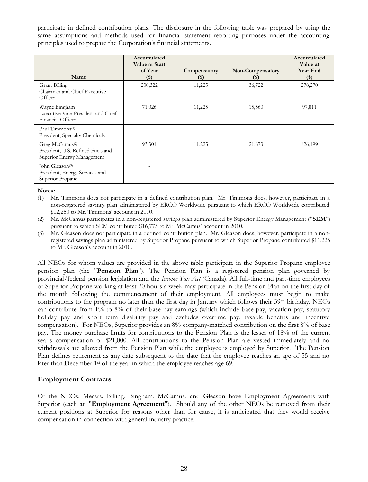participate in defined contribution plans. The disclosure in the following table was prepared by using the same assumptions and methods used for financial statement reporting purposes under the accounting principles used to prepare the Corporation's financial statements.

| Name                                                                                           | Accumulated<br>Value at Start<br>of Year<br>$(\$)$ | Compensatory<br>$($ \$) | Non-Compensatory<br>(\$) | Accumulated<br>Value at<br><b>Year End</b><br>$($ \$) |
|------------------------------------------------------------------------------------------------|----------------------------------------------------|-------------------------|--------------------------|-------------------------------------------------------|
| <b>Grant Billing</b><br>Chairman and Chief Executive<br>Officer                                | 230,322                                            | 11,225                  | 36,722                   | 278,270                                               |
| Wayne Bingham<br>Executive Vice-President and Chief<br>Financial Officer                       | 71,026                                             | 11,225                  | 15,560                   | 97,811                                                |
| Paul Timmons $(1)$<br>President, Specialty Chemicals                                           |                                                    |                         |                          |                                                       |
| Greg McCamus <sup>(2)</sup><br>President, U.S. Refined Fuels and<br>Superior Energy Management | 93,301                                             | 11,225                  | 21,673                   | 126,199                                               |
| John Gleason <sup>(3)</sup><br>President, Energy Services and<br>Superior Propane              |                                                    |                         |                          |                                                       |

**Notes:**

(1) Mr. Timmons does not participate in a defined contribution plan. Mr. Timmons does, however, participate in a non-registered savings plan administered by ERCO Worldwide pursuant to which ERCO Worldwide contributed \$12,250 to Mr. Timmons' account in 2010.

(2) Mr. McCamus participates in a non-registered savings plan administered by Superior Energy Management ("**SEM**") pursuant to which SEM contributed \$16,775 to Mr. McCamus' account in 2010.

(3) Mr. Gleason does not participate in a defined contribution plan. Mr. Gleason does, however, participate in a nonregistered savings plan administered by Superior Propane pursuant to which Superior Propane contributed \$11,225 to Mr. Gleason's account in 2010.

All NEOs for whom values are provided in the above table participate in the Superior Propane employee pension plan (the "**Pension Plan**"). The Pension Plan is a registered pension plan governed by provincial/federal pension legislation and the *Income Tax Act* (Canada). All full-time and part-time employees of Superior Propane working at least 20 hours a week may participate in the Pension Plan on the first day of the month following the commencement of their employment. All employees must begin to make contributions to the program no later than the first day in January which follows their 39<sup>th</sup> birthday. NEOs can contribute from 1% to 8% of their base pay earnings (which include base pay, vacation pay, statutory holiday pay and short term disability pay and excludes overtime pay, taxable benefits and incentive compensation). For NEOs, Superior provides an 8% company-matched contribution on the first 8% of base pay. The money purchase limits for contributions to the Pension Plan is the lesser of 18% of the current year's compensation or \$21,000. All contributions to the Pension Plan are vested immediately and no withdrawals are allowed from the Pension Plan while the employee is employed by Superior. The Pension Plan defines retirement as any date subsequent to the date that the employee reaches an age of 55 and no later than December 1st of the year in which the employee reaches age 69.

## **Employment Contracts**

Of the NEOs, Messrs. Billing, Bingham, McCamus, and Gleason have Employment Agreements with Superior (each an "**Employment Agreement**"). Should any of the other NEOs be removed from their current positions at Superior for reasons other than for cause, it is anticipated that they would receive compensation in connection with general industry practice.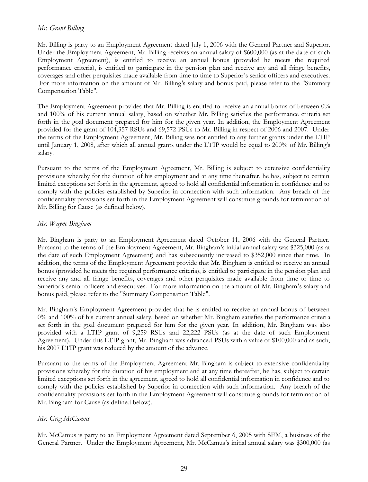## *Mr. Grant Billing*

Mr. Billing is party to an Employment Agreement dated July 1, 2006 with the General Partner and Superior. Under the Employment Agreement, Mr. Billing receives an annual salary of \$600,000 (as at the da te of such Employment Agreement), is entitled to receive an annual bonus (provided he meets the required performance criteria), is entitled to participate in the pension plan and receive any and all fringe benefits, coverages and other perquisites made available from time to time to Superior's senior officers and executives. For more information on the amount of Mr. Billing's salary and bonus paid, please refer to the "Summary Compensation Table".

The Employment Agreement provides that Mr. Billing is entitled to receive an annual bonus of between 0% and 100% of his current annual salary, based on whether Mr. Billing satisfies the performance criteria set forth in the goal document prepared for him for the given year. In addition, the Employment Agreement provided for the grant of 104,357 RSUs and 69,572 PSUs to Mr. Billing in respect of 2006 and 2007. Under the terms of the Employment Agreement, Mr. Billing was not entitled to any further grants under the LTIP until January 1, 2008, after which all annual grants under the LTIP would be equal to 200% of Mr. Billing's salary.

Pursuant to the terms of the Employment Agreement, Mr. Billing is subject to extensive confidentiality provisions whereby for the duration of his employment and at any time thereafter, he has, subject to certain limited exceptions set forth in the agreement, agreed to hold all confidential information in confidence and to comply with the policies established by Superior in connection with such information. Any breach of the confidentiality provisions set forth in the Employment Agreement will constitute grounds for termination of Mr. Billing for Cause (as defined below).

### *Mr. Wayne Bingham*

Mr. Bingham is party to an Employment Agreement dated October 11, 2006 with the General Partner. Pursuant to the terms of the Employment Agreement, Mr. Bingham's initial annual salary was \$325,000 (as at the date of such Employment Agreement) and has subsequently increased to \$352,000 since that time. In addition, the terms of the Employment Agreement provide that Mr. Bingham is entitled to receive an annual bonus (provided he meets the required performance criteria), is entitled to participate in the pension plan and receive any and all fringe benefits, coverages and other perquisites made available from time to time to Superior's senior officers and executives. For more information on the amount of Mr. Bingham's salary and bonus paid, please refer to the "Summary Compensation Table".

Mr. Bingham's Employment Agreement provides that he is entitled to receive an annual bonus of between 0% and 100% of his current annual salary, based on whether Mr. Bingham satisfies the performance criteri a set forth in the goal document prepared for him for the given year. In addition, Mr. Bingham was also provided with a LTIP grant of 9,259 RSUs and 22,222 PSUs (as at the date of such Employment Agreement). Under this LTIP grant, Mr. Bingham was advanced PSUs with a value of \$100,000 and as such, his 2007 LTIP grant was reduced by the amount of the advance.

Pursuant to the terms of the Employment Agreement Mr. Bingham is subject to extensive confidentiality provisions whereby for the duration of his employment and at any time thereafter, he has, subject to certain limited exceptions set forth in the agreement, agreed to hold all confidential information in confidence and to comply with the policies established by Superior in connection with such information. Any breach of the confidentiality provisions set forth in the Employment Agreement will constitute grounds for termination of Mr. Bingham for Cause (as defined below).

## *Mr. Greg McCamus*

Mr. McCamus is party to an Employment Agreement dated September 6, 2005 with SEM, a business of the General Partner. Under the Employment Agreement, Mr. McCamus's initial annual salary was \$300,000 (as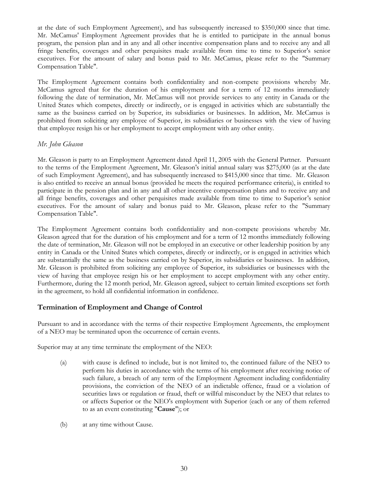at the date of such Employment Agreement), and has subsequently increased to \$350,000 since that time. Mr. McCamus' Employment Agreement provides that he is entitled to participate in the annual bonus program, the pension plan and in any and all other incentive compensation plans and to receive any and all fringe benefits, coverages and other perquisites made available from time to time to Superior's senior executives. For the amount of salary and bonus paid to Mr. McCamus, please refer to the "Summary Compensation Table".

The Employment Agreement contains both confidentiality and non-compete provisions whereby Mr. McCamus agreed that for the duration of his employment and for a term of 12 months immediately following the date of termination, Mr. McCamus will not provide services to any entity in Canada or the United States which competes, directly or indirectly, or is engaged in activities which are substantially the same as the business carried on by Superior, its subsidiaries or businesses. In addition, Mr. McCamus is prohibited from soliciting any employee of Superior, its subsidiaries or businesses with the view of having that employee resign his or her employment to accept employment with any other entity.

## *Mr. John Gleason*

Mr. Gleason is party to an Employment Agreement dated April 11, 2005 with the General Partner. Pursuant to the terms of the Employment Agreement, Mr. Gleason's initial annual salary was \$275,000 (as at the date of such Employment Agreement), and has subsequently increased to \$415,000 since that time. Mr. Gleason is also entitled to receive an annual bonus (provided he meets the required performance criteria), is entitled to participate in the pension plan and in any and all other incentive compensation plans and to receive any and all fringe benefits, coverages and other perquisites made available from time to time to Superior's senior executives. For the amount of salary and bonus paid to Mr. Gleason, please refer to the "Summary Compensation Table".

The Employment Agreement contains both confidentiality and non-compete provisions whereby Mr. Gleason agreed that for the duration of his employment and for a term of 12 months immediately following the date of termination, Mr. Gleason will not be employed in an executive or other leadership position by any entity in Canada or the United States which competes, directly or indirectly, or is engaged in activities which are substantially the same as the business carried on by Superior, its subsidiaries or businesses. In addition, Mr. Gleason is prohibited from soliciting any employee of Superior, its subsidiaries or businesses with the view of having that employee resign his or her employment to accept employment with any other entity. Furthermore, during the 12 month period, Mr. Gleason agreed, subject to certain limited exceptions set forth in the agreement, to hold all confidential information in confidence.

## **Termination of Employment and Change of Control**

Pursuant to and in accordance with the terms of their respective Employment Agreements, the employment of a NEO may be terminated upon the occurrence of certain events.

Superior may at any time terminate the employment of the NEO:

- (a) with cause is defined to include, but is not limited to, the continued failure of the NEO to perform his duties in accordance with the terms of his employment after receiving notice of such failure, a breach of any term of the Employment Agreement including confidentiality provisions, the conviction of the NEO of an indictable offence, fraud or a violation of securities laws or regulation or fraud, theft or willful misconduct by the NEO that relates to or affects Superior or the NEO's employment with Superior (each or any of them referred to as an event constituting "**Cause**"); or
- (b) at any time without Cause.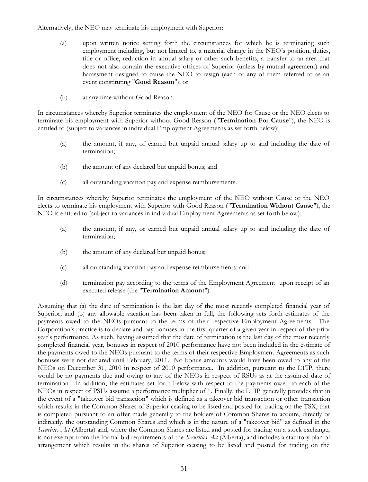Alternatively, the NEO may terminate his employment with Superior:

- (a) upon written notice setting forth the circumstances for which he is terminating such employment including, but not limited to, a material change in the NEO's position, duties, title or office, reduction in annual salary or other such benefits, a transfer to an area that does not also contain the executive offices of Superior (unless by mutual agreement) and harassment designed to cause the NEO to resign (each or any of them referred to as an event constituting "**Good Reason**"); or
- (b) at any time without Good Reason.

In circumstances whereby Superior terminates the employment of the NEO for Cause or the NEO elects to terminate his employment with Superior without Good Reason ("**Termination For Cause**"), the NEO is entitled to (subject to variances in individual Employment Agreements as set forth below):

- (a) the amount, if any, of earned but unpaid annual salary up to and including the date of termination;
- (b) the amount of any declared but unpaid bonus; and
- (c) all outstanding vacation pay and expense reimbursements.

In circumstances whereby Superior terminates the employment of the NEO without Cause or the NEO elects to terminate his employment with Superior with Good Reason ("**Termination Without Cause**"), the NEO is entitled to (subject to variances in individual Employment Agreements as set forth below):

- (a) the amount, if any, or earned but unpaid annual salary up to and including the date of termination;
- (b) the amount of any declared but unpaid bonus;
- (c) all outstanding vacation pay and expense reimbursements; and
- (d) termination pay according to the terms of the Employment Agreement upon receipt of an executed release (the "**Termination Amount**").

Assuming that (a) the date of termination is the last day of the most recently completed financial year of Superior; and (b) any allowable vacation has been taken in full, the following sets forth estimates of the payments owed to the NEOs pursuant to the terms of their respective Employment Agreements. The Corporation's practice is to declare and pay bonuses in the first quarter of a given year in respect of the prior year's performance. As such, having assumed that the date of termination is the last day of the most recently completed financial year, bonuses in respect of 2010 performance have not been included in the estimate of the payments owed to the NEOs pursuant to the terms of their respective Employment Agreements as such bonuses were not declared until February, 2011. No bonus amounts would have been owed to any of the NEOs on December 31, 2010 in respect of 2010 performance. In addition, pursuant to the LTIP, there would be no payments due and owing to any of the NEOs in respect of RSUs as at the assumed date of termination. In addition, the estimates set forth below with respect to the payments owed to each of the NEOs in respect of PSUs assume a performance multiplier of 1. Finally, the LTIP generally provides that in the event of a "takeover bid transaction" which is defined as a takeover bid transaction or other transaction which results in the Common Shares of Superior ceasing to be listed and posted for trading on the TSX, that is completed pursuant to an offer made generally to the holders of Common Shares to acquire, directly or indirectly, the outstanding Common Shares and which is in the nature of a "takeover bid" as defined in the *Securities Act* (Alberta) and, where the Common Shares are listed and posted for trading on a stock exchange, is not exempt from the formal bid requirements of the *Securities Act* (Alberta), and includes a statutory plan of arrangement which results in the shares of Superior ceasing to be listed and posted for trading on the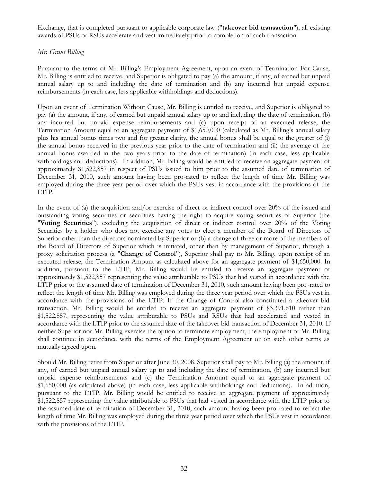Exchange, that is completed pursuant to applicable corporate law ("**takeover bid transaction**"), all existing awards of PSUs or RSUs accelerate and vest immediately prior to completion of such transaction.

### *Mr. Grant Billing*

Pursuant to the terms of Mr. Billing's Employment Agreement, upon an event of Termination For Cause, Mr. Billing is entitled to receive, and Superior is obligated to pay (a) the amount, if any, of earned but unpaid annual salary up to and including the date of termination and (b) any incurred but unpaid expense reimbursements (in each case, less applicable withholdings and deductions).

Upon an event of Termination Without Cause, Mr. Billing is entitled to receive, and Superior is obligated to pay (a) the amount, if any, of earned but unpaid annual salary up to and including the date of termination, (b) any incurred but unpaid expense reimbursements and (c) upon receipt of an executed release, the Termination Amount equal to an aggregate payment of \$1,650,000 (calculated as Mr. Billing's annual salary plus his annual bonus times two and for greater clarity, the annual bonus shall be equal to the greater of (i) the annual bonus received in the previous year prior to the date of termination and (ii) the average of the annual bonus awarded in the two years prior to the date of termination) (in each case, less applicable withholdings and deductions). In addition, Mr. Billing would be entitled to receive an aggregate payment of approximately \$1,522,857 in respect of PSUs issued to him prior to the assumed date of termination of December 31, 2010, such amount having been pro-rated to reflect the length of time Mr. Billing was employed during the three year period over which the PSUs vest in accordance with the provisions of the LTIP.

In the event of (a) the acquisition and/or exercise of direct or indirect control over 20% of the issued and outstanding voting securities or securities having the right to acquire voting securities of Superior (the "**Voting Securities**"), excluding the acquisition of direct or indirect control over 20% of the Voting Securities by a holder who does not exercise any votes to elect a member of the Board of Directors of Superior other than the directors nominated by Superior or (b) a change of three or more of the members of the Board of Directors of Superior which is initiated, other than by management of Superior, through a proxy solicitation process (a "**Change of Control**"), Superior shall pay to Mr. Billing, upon receipt of an executed release, the Termination Amount as calculated above for an aggregate payment of \$1,650,000. In addition, pursuant to the LTIP, Mr. Billing would be entitled to receive an aggregate payment of approximately \$1,522,857 representing the value attributable to PSUs that had vested in accordance with the LTIP prior to the assumed date of termination of December 31, 2010, such amount having been pro-rated to reflect the length of time Mr. Billing was employed during the three year period over which the PSUs vest in accordance with the provisions of the LTIP. If the Change of Control also constituted a takeover bid transaction, Mr. Billing would be entitled to receive an aggregate payment of \$3,391,610 rather than \$1,522,857, representing the value attributable to PSUs and RSUs that had accelerated and vested in accordance with the LTIP prior to the assumed date of the takeover bid transaction of December 31, 2010. If neither Superior nor Mr. Billing exercise the option to terminate employment, the employment of Mr. Billing shall continue in accordance with the terms of the Employment Agreement or on such other terms as mutually agreed upon.

Should Mr. Billing retire from Superior after June 30, 2008, Superior shall pay to Mr. Billing (a) the amount, if any, of earned but unpaid annual salary up to and including the date of termination, (b) any incurred but unpaid expense reimbursements and (c) the Termination Amount equal to an aggregate payment of \$1,650,000 (as calculated above) (in each case, less applicable withholdings and deductions). In addition, pursuant to the LTIP, Mr. Billing would be entitled to receive an aggregate payment of approximately \$1,522,857 representing the value attributable to PSUs that had vested in accordance with the LTIP prior to the assumed date of termination of December 31, 2010, such amount having been pro-rated to reflect the length of time Mr. Billing was employed during the three year period over which the PSUs vest in accordance with the provisions of the LTIP.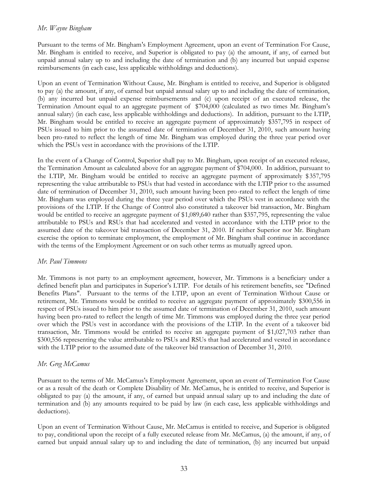#### *Mr. Wayne Bingham*

Pursuant to the terms of Mr. Bingham's Employment Agreement, upon an event of Termination For Cause, Mr. Bingham is entitled to receive, and Superior is obligated to pay (a) the amount, if any, of earned but unpaid annual salary up to and including the date of termination and (b) any incurred but unpaid expense reimbursements (in each case, less applicable withholdings and deductions).

Upon an event of Termination Without Cause, Mr. Bingham is entitled to receive, and Superior is obligated to pay (a) the amount, if any, of earned but unpaid annual salary up to and including the date of termination, (b) any incurred but unpaid expense reimbursements and (c) upon receipt of an executed release, the Termination Amount equal to an aggregate payment of \$704,000 (calculated as two times Mr. Bingham's annual salary) (in each case, less applicable withholdings and deductions). In addition, pursuant to the LTIP, Mr. Bingham would be entitled to receive an aggregate payment of approximately \$357,795 in respect of PSUs issued to him prior to the assumed date of termination of December 31, 2010, such amount having been pro-rated to reflect the length of time Mr. Bingham was employed during the three year period over which the PSUs vest in accordance with the provisions of the LTIP.

In the event of a Change of Control, Superior shall pay to Mr. Bingham, upon receipt of an executed release, the Termination Amount as calculated above for an aggregate payment of \$704,000. In addition, pursuant to the LTIP, Mr. Bingham would be entitled to receive an aggregate payment of approximately \$357,795 representing the value attributable to PSUs that had vested in accordance with the LTIP prior to the assumed date of termination of December 31, 2010, such amount having been pro-rated to reflect the length of time Mr. Bingham was employed during the three year period over which the PSUs vest in accordance with the provisions of the LTIP. If the Change of Control also constituted a takeover bid transaction, Mr. Bingham would be entitled to receive an aggregate payment of \$1,089,640 rather than \$357,795, representing the value attributable to PSUs and RSUs that had accelerated and vested in accordance with the LTIP prior to the assumed date of the takeover bid transaction of December 31, 2010. If neither Superior nor Mr. Bingham exercise the option to terminate employment, the employment of Mr. Bingham shall continue in accordance with the terms of the Employment Agreement or on such other terms as mutually agreed upon.

#### *Mr. Paul Timmons*

Mr. Timmons is not party to an employment agreement, however, Mr. Timmons is a beneficiary under a defined benefit plan and participates in Superior's LTIP. For details of his retirement benefits, see "Defined Benefits Plans". Pursuant to the terms of the LTIP, upon an event of Termination Without Cause or retirement, Mr. Timmons would be entitled to receive an aggregate payment of approximately \$300,556 in respect of PSUs issued to him prior to the assumed date of termination of December 31, 2010, such amount having been pro-rated to reflect the length of time Mr. Timmons was employed during the three year period over which the PSUs vest in accordance with the provisions of the LTIP. In the event of a takeover bid transaction, Mr. Timmons would be entitled to receive an aggregate payment of \$1,027,703 rather than \$300,556 representing the value attributable to PSUs and RSUs that had accelerated and vested in accordance with the LTIP prior to the assumed date of the takeover bid transaction of December 31, 2010.

## *Mr. Greg McCamus*

Pursuant to the terms of Mr. McCamus's Employment Agreement, upon an event of Termination For Cause or as a result of the death or Complete Disability of Mr. McCamus, he is entitled to receive, and Superior is obligated to pay (a) the amount, if any, of earned but unpaid annual salary up to and including the date of termination and (b) any amounts required to be paid by law (in each case, less applicable withholdings and deductions).

Upon an event of Termination Without Cause, Mr. McCamus is entitled to receive, and Superior is obligated to pay, conditional upon the receipt of a fully executed release from Mr. McCamus, (a) the amount, if any, of earned but unpaid annual salary up to and including the date of termination, (b) any incurred but unpaid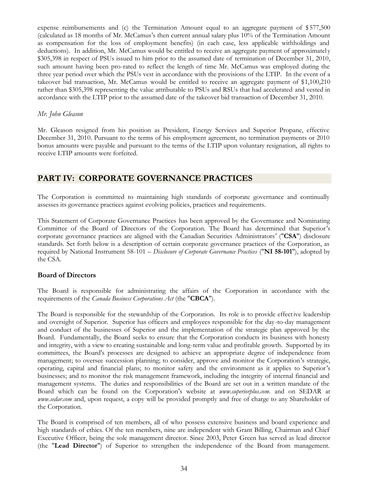expense reimbursements and (c) the Termination Amount equal to an aggregate payment of \$577,500 (calculated as 18 months of Mr. McCamus's then current annual salary plus 10% of the Termination Amount as compensation for the loss of employment benefits) (in each case, less applicable withholdings and deductions). In addition, Mr. McCamus would be entitled to receive an aggregate payment of approximately \$305,398 in respect of PSUs issued to him prior to the assumed date of termination of December 31, 2010, such amount having been pro-rated to reflect the length of time Mr. McCamus was employed during the three year period over which the PSUs vest in accordance with the provisions of the LTIP. In the event of a takeover bid transaction, Mr. McCamus would be entitled to receive an aggregate payment of \$1,100,210 rather than \$305,398 representing the value attributable to PSUs and RSUs that had accelerated and vested in accordance with the LTIP prior to the assumed date of the takeover bid transaction of December 31, 2010.

### *Mr. John Gleason*

Mr. Gleason resigned from his position as President, Energy Services and Superior Propane, effective December 31, 2010. Pursuant to the terms of his employment agreement, no termination payments or 2010 bonus amounts were payable and pursuant to the terms of the LTIP upon voluntary resignation, all rights to receive LTIP amounts were forfeited.

## **PART IV: CORPORATE GOVERNANCE PRACTICES**

The Corporation is committed to maintaining high standards of corporate governance and continually assesses its governance practices against evolving policies, practices and requirements.

This Statement of Corporate Governance Practices has been approved by the Governance and Nominating Committee of the Board of Directors of the Corporation. The Board has determined that Superior's corporate governance practices are aligned with the Canadian Securities Administrators' ("**CSA**") disclosure standards. Set forth below is a description of certain corporate governance practices of the Corporation, as required by National Instrument 58-101 – *Disclosure of Corporate Governance Practices* ("**NI 58-101**"), adopted by the CSA.

## **Board of Directors**

The Board is responsible for administrating the affairs of the Corporation in accordance with the requirements of the *Canada Business Corporations Act* (the "**CBCA**").

The Board is responsible for the stewardship of the Corporation. Its role is to provide effective leadership and oversight of Superior. Superior has officers and employees responsible for the day -to-day management and conduct of the businesses of Superior and the implementation of the strategic plan approved by the Board. Fundamentally, the Board seeks to ensure that the Corporation conducts its business with honesty and integrity, with a view to creating sustainable and long-term value and profitable growth. Supported by its committees, the Board's processes are designed to achieve an appropriate degree of independence from management; to oversee succession planning; to consider, approve and monitor the Corporation's strategic, operating, capital and financial plans; to monitor safety and the environment as it applies to Superior's businesses; and to monitor the risk management framework, including the integrity of internal financial and management systems. The duties and responsibilities of the Board are set out in a written mandate of the Board which can be found on the Corporation's website at *www.superiorplus.com.* and on SEDAR at *www.sedar.com* [and, upon re](www.sedar.com)quest, a copy will be provided promptly and free of charge to any Shareholder of the Corporation.

The Board is comprised of ten members, all of who possess extensive business and board experience and high standards of ethics. Of the ten members, nine are independent with Grant Billing, Chairman and Chief Executive Officer, being the sole management director. Since 2003, Peter Green has served as lead director (the "**Lead Director**") of Superior to strengthen the independence of the Board from management.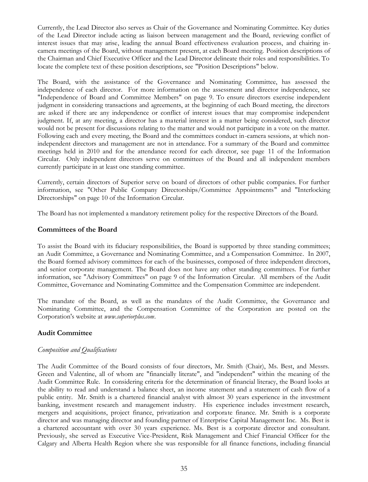Currently, the Lead Director also serves as Chair of the Governance and Nominating Committee. Key duties of the Lead Director include acting as liaison between management and the Board, reviewing conflict of interest issues that may arise, leading the annual Board effectiveness evaluation process, and chairing incamera meetings of the Board, without management present, at each Board meeting. Position descriptions of the Chairman and Chief Executive Officer and the Lead Director delineate their roles and responsibilities. To locate the complete text of these position descriptions, see "Position Descriptions" below.

The Board, with the assistance of the Governance and Nominating Committee, has assessed the independence of each director. For more information on the assessment and director independence, see "Independence of Board and Committee Members" on page 9. To ensure directors exercise independent judgment in considering transactions and agreements, at the beginning of each Board meeting, the directors are asked if there are any independence or conflict of interest issues that may compromise independent judgment. If, at any meeting, a director has a material interest in a matter being considered, such director would not be present for discussions relating to the matter and would not participate in a vote on the matter. Following each and every meeting, the Board and the committees conduct in-camera sessions, at which nonindependent directors and management are not in attendance. For a summary of the Board and committee meetings held in 2010 and for the attendance record for each director, see page 11 of the Information Circular. Only independent directors serve on committees of the Board and all independent members currently participate in at least one standing committee.

Currently, certain directors of Superior serve on board of directors of other public companies. For further information, see "Other Public Company Directorships/Committee Appointments" and "Interlocking Directorships" on page 10 of the Information Circular.

The Board has not implemented a mandatory retirement policy for the respective Directors of the Board.

## **Committees of the Board**

To assist the Board with its fiduciary responsibilities, the Board is supported by three standing committees; an Audit Committee, a Governance and Nominating Committee, and a Compensation Committee. In 2007, the Board formed advisory committees for each of the businesses, composed of three independent directors, and senior corporate management. The Board does not have any other standing committees. For further information, see "Advisory Committees" on page 9 of the Information Circular. All members of the Audit Committee, Governance and Nominating Committee and the Compensation Committee are independent.

The mandate of the Board, as well as the mandates of the Audit Committee, the Governance and Nominating Committee, and the Compensation Committee of the Corporation are posted on the Corporation's website at *www.superior[plus.com](www.superiorplus.com)*.

## **Audit Committee**

## *Composition and Qualifications*

The Audit Committee of the Board consists of four directors, Mr. Smith (Chair), Ms. Best, and Messrs. Green and Valentine, all of whom are "financially literate", and "independent" within the meaning of the Audit Committee Rule. In considering criteria for the determination of financial literacy, the Board looks at the ability to read and understand a balance sheet, an income statement and a statement of cash flow of a public entity. Mr. Smith is a chartered financial analyst with almost 30 years experience in the investment banking, investment research and management industry. His experience includes investment research, mergers and acquisitions, project finance, privatization and corporate finance. Mr. Smith is a corporate director and was managing director and founding partner of Enterprise Capital Management Inc. Ms. Best is a chartered accountant with over 30 years experience. Ms. Best is a corporate director and consultant. Previously, she served as Executive Vice-President, Risk Management and Chief Financial Officer for the Calgary and Alberta Health Region where she was responsible for all finance functions, including financial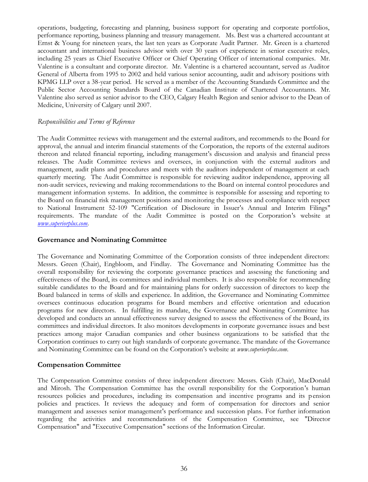operations, budgeting, forecasting and planning, business support for operating and corporate portfolios, performance reporting, business planning and treasury management. Ms. Best was a chartered accountant at Ernst & Young for nineteen years, the last ten years as Corporate Audit Partner. Mr. Green is a chartered accountant and international business advisor with over 30 years of experience in senior executive roles, including 25 years as Chief Executive Officer or Chief Operating Officer of international companies. Mr. Valentine is a consultant and corporate director. Mr. Valentine is a chartered accountant, served as Auditor General of Alberta from 1995 to 2002 and held various senior accounting, audit and advisory positions with KPMG LLP over a 38-year period. He served as a member of the Accounting Standards Committee and the Public Sector Accounting Standards Board of the Canadian Institute of Chartered Accountants. Mr. Valentine also served as senior advisor to the CEO, Calgary Health Region and senior advisor to the Dean of Medicine, University of Calgary until 2007.

#### *Responsibilities and Terms of Reference*

The Audit Committee reviews with management and the external auditors, and recommends to the Board for approval, the annual and interim financial statements of the Corporation, the reports of the external auditors thereon and related financial reporting, including management's discussion and analysis and financial press releases. The Audit Committee reviews and oversees, in conjunction with the external auditors and management, audit plans and procedures and meets with the auditors independent of management at each quarterly meeting. The Audit Committee is responsible for reviewing auditor independence, approving all non-audit services, reviewing and making recommendations to the Board on internal control procedures and management information systems. In addition, the committee is responsible for assessing and reporting to the Board on financial risk management positions and monitoring the processes and compliance with respect to National Instrument 52-109 "Certification of Disclosure in Issuer's Annual and Interim Filings" requirements. The mandate of the Audit Committee is posted on the Corporation's website at *www.superiorplus.co[m.](www.superiorplus.com)*

### **Governance and Nominating Committee**

The Governance and Nominating Committee of the Corporation consists of three independent directors: Messrs. Green (Chair), Engbloom, and Findlay. The Governance and Nominating Committee has the overall responsibility for reviewing the corporate governance practices and assessing the functioning and effectiveness of the Board, its committees and individual members. It is also responsible for recommending suitable candidates to the Board and for maintaining plans for orderly succession of directors to keep the Board balanced in terms of skills and experience. In addition, the Governance and Nominating Committee oversees continuous education programs for Board members and effective orientation and education programs for new directors. In fulfilling its mandate, the Governance and Nominating Committee has developed and conducts an annual effectiveness survey designed to assess the effectiveness of the Board, its committees and individual directors. It also monitors developments in corporate governance issues and best practices among major Canadian companies and other business organizations to be satisfied that the Corporation continues to carry out high standards of corporate governance. The mandate of the Governance and Nominating Committee can be found on the Corporation's website at *www.superiorplus.com.*

#### **Compensation Committee**

The Compensation Committee consists of three independent directors: Messrs. Gish (Chair), MacDonald and Mirosh. The Compensation Committee has the overall responsibility for the Corporation's human resources policies and procedures, including its compensation and incentive programs and its pension policies and practices. It reviews the adequacy and form of compensation for directors and senior management and assesses senior management's performance and succession plans. For further information regarding the activities and recommendations of the Compensation Committee, see "Director Compensation" and "Executive Compensation" sections of the Information Circular.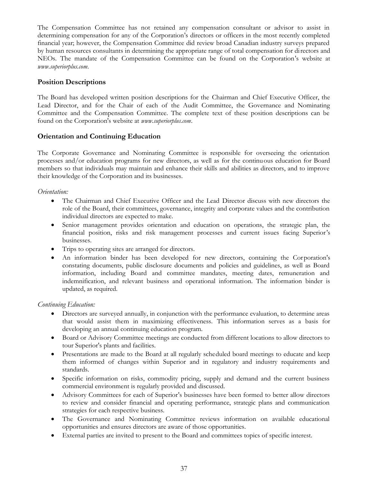The Compensation Committee has not retained any compensation consultant or advisor to assist in determining compensation for any of the Corporation's directors or officers in the most recently completed financial year; however, the Compensation Committee did review broad Canadian industry surveys prepared by human resources consultants in determining the appropriate range of total compensation for directors and NEOs. The mandate of the Compensation Committee can be found on the Corporation's website at *www.superiorplus.co[m.](www.superiorplus.com)*

## **Position Descriptions**

The Board has developed written position descriptions for the Chairman and Chief Executive Officer, the Lead Director, and for the Chair of each of the Audit Committee, the Governance and Nominating Committee and the Compensation Committee. The complete text of these position descriptions can be found on the Corporation's website at *www.superi[orplus.com](www.superiorplus.com)*.

## **Orientation and Continuing Education**

The Corporate Governance and Nominating Committee is responsible for overseeing the orientation processes and/or education programs for new directors, as well as for the continuous education for Board members so that individuals may maintain and enhance their skills and abilities as directors, and to improve their knowledge of the Corporation and its businesses.

### *Orientation:*

- The Chairman and Chief Executive Officer and the Lead Director discuss with new directors the role of the Board, their committees, governance, integrity and corporate values and the contribution individual directors are expected to make.
- Senior management provides orientation and education on operations, the strategic plan, the financial position, risks and risk management processes and current issues facing Superior's businesses.
- Trips to operating sites are arranged for directors.
- An information binder has been developed for new directors, containing the Corporation's constating documents, public disclosure documents and policies and guidelines, as well as Board information, including Board and committee mandates, meeting dates, remuneration and indemnification, and relevant business and operational information. The information binder is updated, as required.

#### *Continuing Education:*

- Directors are surveyed annually, in conjunction with the performance evaluation, to determine areas that would assist them in maximizing effectiveness. This information serves as a basis for developing an annual continuing education program.
- Board or Advisory Committee meetings are conducted from different locations to allow directors to tour Superior's plants and facilities.
- Presentations are made to the Board at all regularly scheduled board meetings to educate and keep them informed of changes within Superior and in regulatory and industry requirements and standards.
- Specific information on risks, commodity pricing, supply and demand and the current business commercial environment is regularly provided and discussed.
- Advisory Committees for each of Superior's businesses have been formed to better allow directors to review and consider financial and operating performance, strategic plans and communication strategies for each respective business.
- The Governance and Nominating Committee reviews information on available educational opportunities and ensures directors are aware of those opportunities.
- External parties are invited to present to the Board and committees topics of specific interest.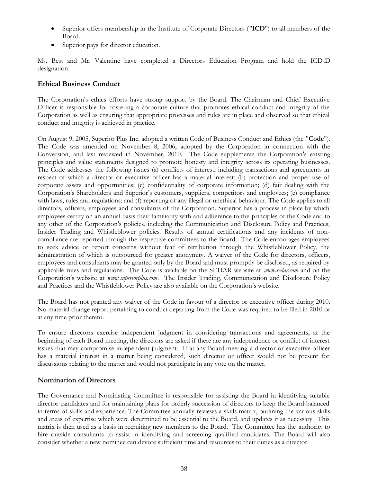- Superior offers membership in the Institute of Corporate Directors ("**ICD**") to all members of the Board.
- Superior pays for director education.

Ms. Best and Mr. Valentine have completed a Directors Education Program and hold the ICD.D designation.

## **Ethical Business Conduct**

The Corporation's ethics efforts have strong support by the Board. The Chairman and Chief Executive Officer is responsible for fostering a corporate culture that promotes ethical conduct and integrity of the Corporation as well as ensuring that appropriate processes and rules are in place and observed so that ethical conduct and integrity is achieved in practice.

On August 9, 2005, Superior Plus Inc. adopted a written Code of Business Conduct and Ethics (the "**Code**"). The Code was amended on November 8, 2006, adopted by the Corporation in connection with the Conversion, and last reviewed in November, 2010. The Code supplements the Corporation's existing principles and value statements designed to promote honesty and integrity across its operating businesses. The Code addresses the following issues (a) conflicts of interest, including transactions and agreements in respect of which a director or executive officer has a material interest; (b) protection and proper use of corporate assets and opportunities; (c) confidentiality of corporate information; (d) fair dealing with the Corporation's Shareholders and Superior's customers, suppliers, competitors and employees; (e) compliance with laws, rules and regulations; and (f) reporting of any illegal or unethical behaviour. The Code applies to all directors, officers, employees and consultants of the Corporation. Superior has a process in place by which employees certify on an annual basis their familiarity with and adherence to the principles of the Code and to any other of the Corporation's policies, including the Communication and Disclosure Policy and Practices, Insider Trading and Whistleblower policies. Results of annual certifications and any incidents of noncompliance are reported through the respective committees to the Board. The Code encourages employees to seek advice or report concerns without fear of retribution through the Whistleblower Policy, the administration of which is outsourced for greater anonymity. A waiver of the Code for directors, officers, employees and consultants may be granted only by the Board and must promptly be disclosed, as required by applicable rules and regulations. The Code is available on the SEDAR website at *www.sedar.com* and on the Corporation's website at *www.superiorplus.com*[. The Insid](www.superiorplus.com)er Trading, Communication and Disclosure Policy and Practices and the Whistleblower Policy are also available on the Corporation's website.

The Board has not granted any waiver of the Code in favour of a director or executive officer during 2010. No material change report pertaining to conduct departing from the Code was required to be filed in 2010 or at any time prior thereto.

To ensure directors exercise independent judgment in considering transactions and agreements, at the beginning of each Board meeting, the directors are asked if there are any independence or conflict of interest issues that may compromise independent judgment. If at any Board meeting a director or executive officer has a material interest in a matter being considered, such director or officer would not be present for discussions relating to the matter and would not participate in any vote on the matter.

## **Nomination of Directors**

The Governance and Nominating Committee is responsible for assisting the Board in identifying suitable director candidates and for maintaining plans for orderly succession of directors to keep the Board balanced in terms of skills and experience. The Committee annually reviews a skills matrix, outlining the various skills and areas of expertise which were determined to be essential to the Board, and updates it as necessary. This matrix is then used as a basis in recruiting new members to the Board. The Committee has the authority to hire outside consultants to assist in identifying and screening qualified candidates. The Board will also consider whether a new nominee can devote sufficient time and resources to their duties as a director.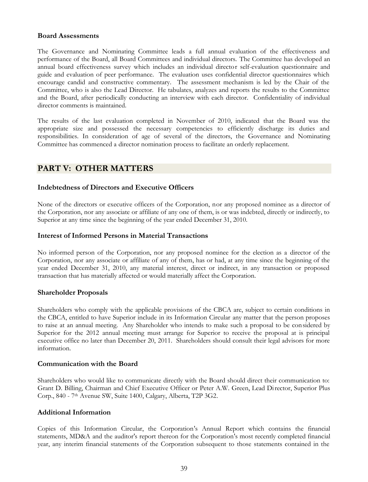### **Board Assessments**

The Governance and Nominating Committee leads a full annual evaluation of the effectiveness and performance of the Board, all Board Committees and individual directors. The Committee has developed an annual board effectiveness survey which includes an individual director self-evaluation questionnaire and guide and evaluation of peer performance. The evaluation uses confidential director questionnaires which encourage candid and constructive commentary. The assessment mechanism is led by the Chair of the Committee, who is also the Lead Director. He tabulates, analyzes and reports the results to the Committee and the Board, after periodically conducting an interview with each director. Confidentiality of individual director comments is maintained.

The results of the last evaluation completed in November of 2010, indicated that the Board was the appropriate size and possessed the necessary competencies to efficiently discharge its duties and responsibilities. In consideration of age of several of the directors, the Governance and Nominating Committee has commenced a director nomination process to facilitate an orderly replacement.

## **PART V: OTHER MATTERS**

### **Indebtedness of Directors and Executive Officers**

None of the directors or executive officers of the Corporation, nor any proposed nominee as a director of the Corporation, nor any associate or affiliate of any one of them, is or was indebted, directly or indirectly, to Superior at any time since the beginning of the year ended December 31, 2010.

#### **Interest of Informed Persons in Material Transactions**

No informed person of the Corporation, nor any proposed nominee for the election as a director of the Corporation, nor any associate or affiliate of any of them, has or had, at any time since the beginning of the year ended December 31, 2010, any material interest, direct or indirect, in any transaction or proposed transaction that has materially affected or would materially affect the Corporation.

#### **Shareholder Proposals**

Shareholders who comply with the applicable provisions of the CBCA are, subject to certain conditions in the CBCA, entitled to have Superior include in its Information Circular any matter that the person proposes to raise at an annual meeting. Any Shareholder who intends to make such a proposal to be considered by Superior for the 2012 annual meeting must arrange for Superior to receive the proposal at is principal executive office no later than December 20, 2011. Shareholders should consult their legal advisors for more information.

#### **Communication with the Board**

Shareholders who would like to communicate directly with the Board should direct their communication to: Grant D. Billing, Chairman and Chief Executive Officer or Peter A.W. Green, Lead Director, Superior Plus Corp., 840 - 7th Avenue SW, Suite 1400, Calgary, Alberta, T2P 3G2.

#### **Additional Information**

Copies of this Information Circular, the Corporation's Annual Report which contains the financial statements, MD&A and the auditor's report thereon for the Corporation's most recently completed financial year, any interim financial statements of the Corporation subsequent to those statements contained in the